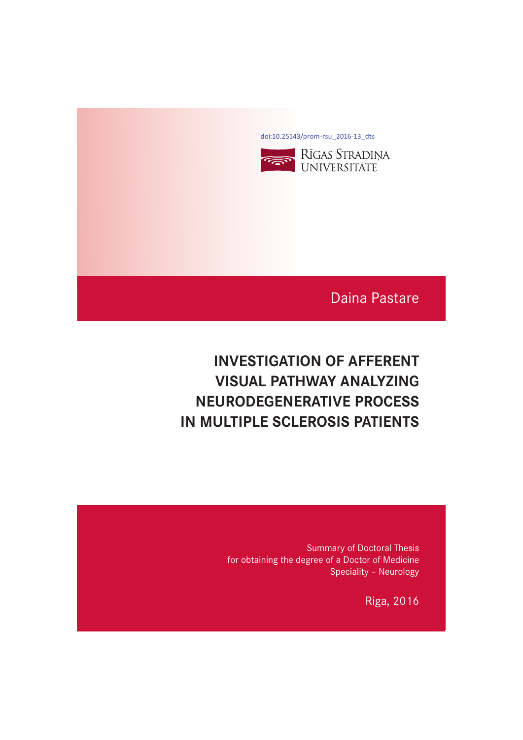[doi:10.25143/prom-rsu\\_2016-13\\_dts](https://doi.org/10.25143/prom-rsu_2016-13_dts)



# Daina Pastare

# **INVESTIGATION OF AFFERENT VISUAL PATHWAY ANALYZING NEURODEGENERATIVE PROCESS IN MULTIPLE SCLEROSIS PATIENTS IN MULTIPLE SCLEROSIS PATIENTS**

Summary of Doctoral Thesis for obtaining the degree of a Doctor of Medicine Speciality – Neurology

Riga, 2016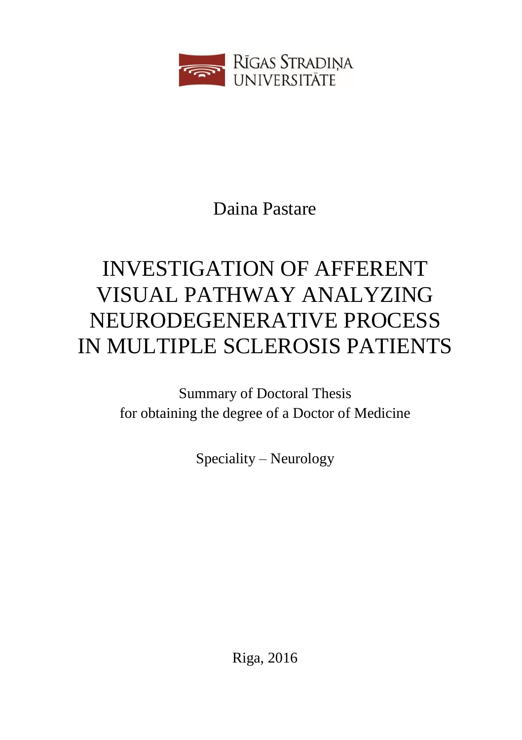

Daina Pastare

# INVESTIGATION OF AFFERENT VISUAL PATHWAY ANALYZING NEURODEGENERATIVE PROCESS IN MULTIPLE SCLEROSIS PATIENTS

Summary of Doctoral Thesis for obtaining the degree of a Doctor of Medicine

Speciality – Neurology

Riga, 2016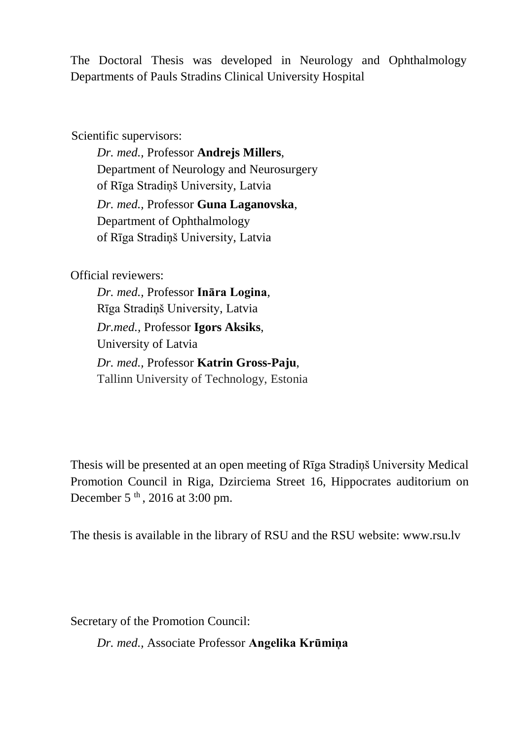The Doctoral Thesis was developed in Neurology and Ophthalmology Departments of Pauls Stradins Clinical University Hospital

Scientific supervisors:

*Dr. med.,* Professor **Andrejs Millers**, Department of Neurology and Neurosurgery of Rīga Stradiņš University, Latvia *Dr. med.,* Professor **Guna Laganovska**, Department of Ophthalmology of Rīga Stradiņš University, Latvia

Official reviewers:

*Dr. med.,* Professor **Ināra Logina**, Rīga Stradiņš University, Latvia *Dr.med.,* Professor **Igors Aksiks**, University of Latvia *Dr. med.,* Professor **Katrin Gross-Paju**, Tallinn University of Technology, Estonia

Thesis will be presented at an open meeting of Rīga Stradiņš University Medical Promotion Council in Riga, Dzirciema Street 16, Hippocrates auditorium on December  $5<sup>th</sup>$ , 2016 at 3:00 pm.

The thesis is available in the library of RSU and the RSU website: www.rsu.lv

Secretary of the Promotion Council:

*Dr. med.,* Associate Professor **Angelika Krūmiņa**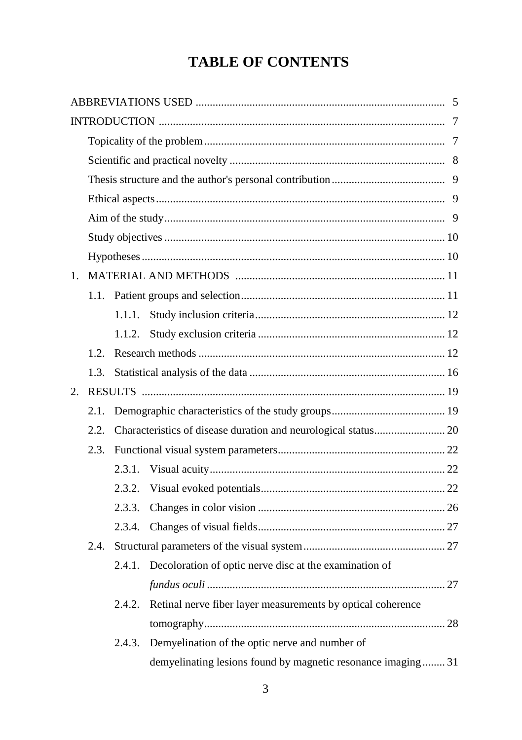# **TABLE OF CONTENTS**

| $1_{-}$ |      |        |                                                                |  |
|---------|------|--------|----------------------------------------------------------------|--|
|         | 1.1. |        |                                                                |  |
|         |      | 1.1.1. |                                                                |  |
|         |      | 1.1.2. |                                                                |  |
|         | 1.2. |        |                                                                |  |
|         | 1.3. |        |                                                                |  |
| 2.      |      |        |                                                                |  |
|         | 2.1. |        |                                                                |  |
|         | 2.2. |        | Characteristics of disease duration and neurological status 20 |  |
|         | 2.3. |        |                                                                |  |
|         |      | 2.3.1. |                                                                |  |
|         |      | 2.3.2. |                                                                |  |
|         |      | 2.3.3. |                                                                |  |
|         |      | 2.3.4. |                                                                |  |
|         | 2.4. |        |                                                                |  |
|         |      | 2.4.1. | Decoloration of optic nerve disc at the examination of         |  |
|         |      |        |                                                                |  |
|         |      | 2.4.2. | Retinal nerve fiber layer measurements by optical coherence    |  |
|         |      |        |                                                                |  |
|         |      | 2.4.3. | Demyelination of the optic nerve and number of                 |  |
|         |      |        | demyelinating lesions found by magnetic resonance imaging 31   |  |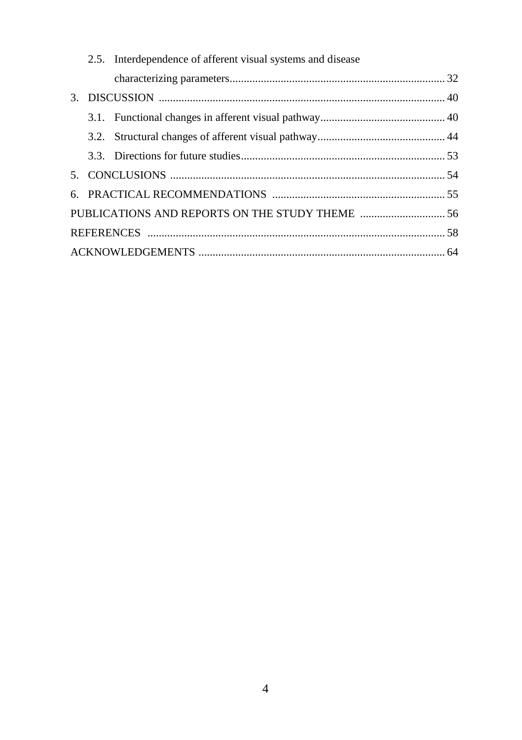|  | 2.5. Interdependence of afferent visual systems and disease |  |
|--|-------------------------------------------------------------|--|
|  |                                                             |  |
|  |                                                             |  |
|  |                                                             |  |
|  |                                                             |  |
|  |                                                             |  |
|  |                                                             |  |
|  |                                                             |  |
|  |                                                             |  |
|  |                                                             |  |
|  |                                                             |  |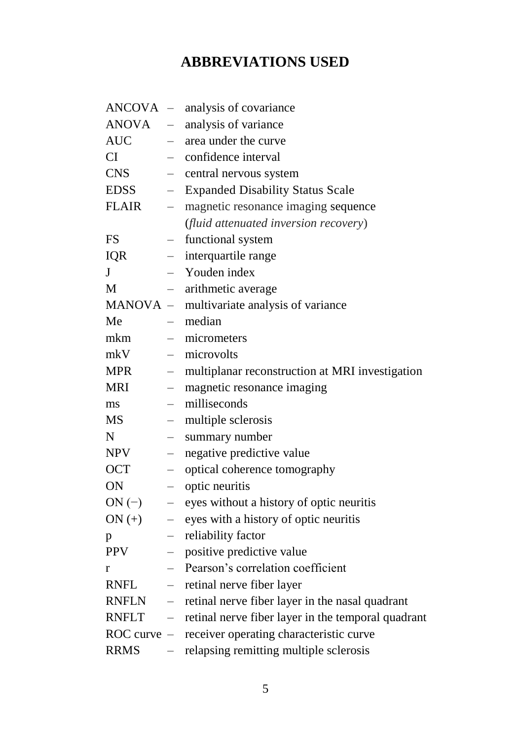# **ABBREVIATIONS USED**

<span id="page-5-0"></span>

| <b>ANCOVA</b>   |                          | - analysis of covariance                           |
|-----------------|--------------------------|----------------------------------------------------|
| ANOVA           | $-$                      | analysis of variance                               |
| <b>AUC</b>      | $\overline{\phantom{0}}$ | area under the curve                               |
| <b>CI</b>       | $-$                      | confidence interval                                |
| <b>CNS</b>      |                          | central nervous system                             |
| <b>EDSS</b>     | $\qquad \qquad -$        | <b>Expanded Disability Status Scale</b>            |
| <b>FLAIR</b>    | $\overline{\phantom{0}}$ | magnetic resonance imaging sequence                |
|                 |                          | (fluid attenuated inversion recovery)              |
| <b>FS</b>       | $\overline{\phantom{0}}$ | functional system                                  |
| <b>IQR</b>      | $\overline{\phantom{0}}$ | interquartile range                                |
| J               | $\overline{\phantom{0}}$ | Youden index                                       |
| M               | $\overline{\phantom{0}}$ | arithmetic average                                 |
| MANOVA -        |                          | multivariate analysis of variance                  |
| Me              | $-$                      | median                                             |
| mkm             |                          | micrometers                                        |
| mkV             | $\overline{\phantom{0}}$ | microvolts                                         |
| <b>MPR</b>      | $\overline{\phantom{0}}$ | multiplanar reconstruction at MRI investigation    |
| <b>MRI</b>      | $-$                      | magnetic resonance imaging                         |
| ms              |                          | milliseconds                                       |
| MS              | $\overline{\phantom{0}}$ | multiple sclerosis                                 |
| N               | $\qquad \qquad -$        | summary number                                     |
| <b>NPV</b>      | $\qquad \qquad -$        | negative predictive value                          |
| <b>OCT</b>      | $\qquad \qquad -$        | optical coherence tomography                       |
| ON              | $\qquad \qquad -$        | optic neuritis                                     |
| $ON(-)$         | $\qquad \qquad -$        | eyes without a history of optic neuritis           |
| $ON (+)$        | $\qquad \qquad -$        | eyes with a history of optic neuritis              |
| p               | $\qquad \qquad -$        | reliability factor                                 |
| <b>PPV</b>      |                          | positive predictive value                          |
| r               |                          | Pearson's correlation coefficient                  |
| <b>RNFL</b>     | $\qquad \qquad -$        | retinal nerve fiber layer                          |
| <b>RNFLN</b>    | $\overline{\phantom{0}}$ | retinal nerve fiber layer in the nasal quadrant    |
| <b>RNFLT</b>    | $\overline{\phantom{0}}$ | retinal nerve fiber layer in the temporal quadrant |
| $ROC$ curve $-$ |                          | receiver operating characteristic curve            |
| <b>RRMS</b>     |                          | relapsing remitting multiple sclerosis             |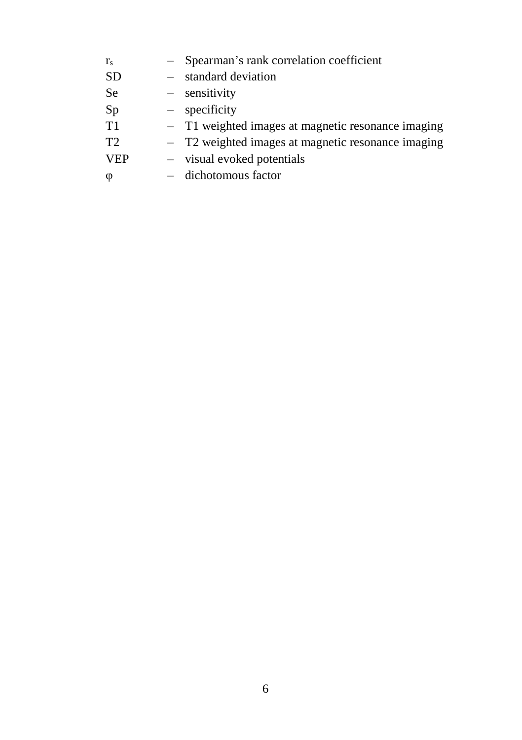$r_s$  – Spearman's rank correlation coefficient SD – standard deviation Se – sensitivity Sp – specificity T1 – T1 weighted images at magnetic resonance imaging T2 – T2 weighted images at magnetic resonance imaging VEP – visual evoked potentials φ – dichotomous factor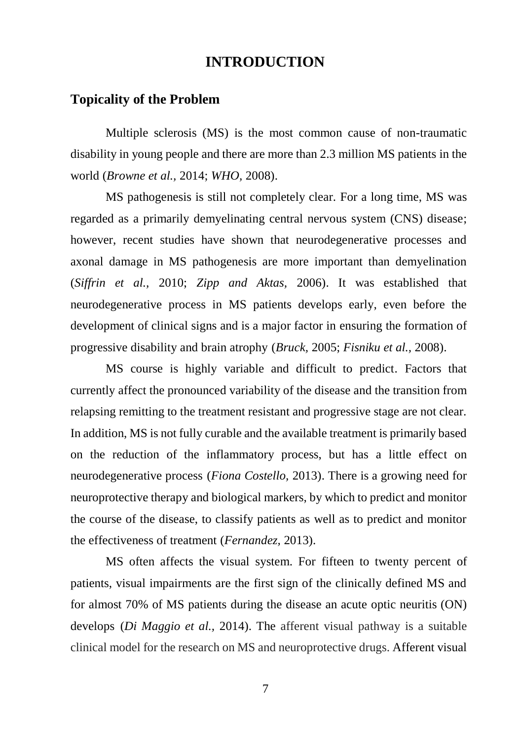## **INTRODUCTION**

#### <span id="page-7-1"></span><span id="page-7-0"></span>**Topicality of the Problem**

Multiple sclerosis (MS) is the most common cause of non-traumatic disability in young people and there are more than 2.3 million MS patients in the world (*Browne et al.,* 2014; *WHO,* 2008).

MS pathogenesis is still not completely clear. For a long time, MS was regarded as a primarily demyelinating central nervous system (CNS) disease; however, recent studies have shown that neurodegenerative processes and axonal damage in MS pathogenesis are more important than demyelination (*Siffrin et al.,* 2010; *Zipp and Aktas,* 2006). It was established that neurodegenerative process in MS patients develops early, even before the development of clinical signs and is a major factor in ensuring the formation of progressive disability and brain atrophy (*Bruck,* 2005; *Fisniku et al.,* 2008).

MS course is highly variable and difficult to predict. Factors that currently affect the pronounced variability of the disease and the transition from relapsing remitting to the treatment resistant and progressive stage are not clear. In addition, MS is not fully curable and the available treatment is primarily based on the reduction of the inflammatory process, but has a little effect on neurodegenerative process (*Fiona Costello,* 2013). There is a growing need for neuroprotective therapy and biological markers, by which to predict and monitor the course of the disease, to classify patients as well as to predict and monitor the effectiveness of treatment (*Fernandez,* 2013).

MS often affects the visual system. For fifteen to twenty percent of patients, visual impairments are the first sign of the clinically defined MS and for almost 70% of MS patients during the disease an acute optic neuritis (ON) develops (*Di Maggio et al.,* 2014). The afferent visual pathway is a suitable clinical model for the research on MS and neuroprotective drugs. Afferent visual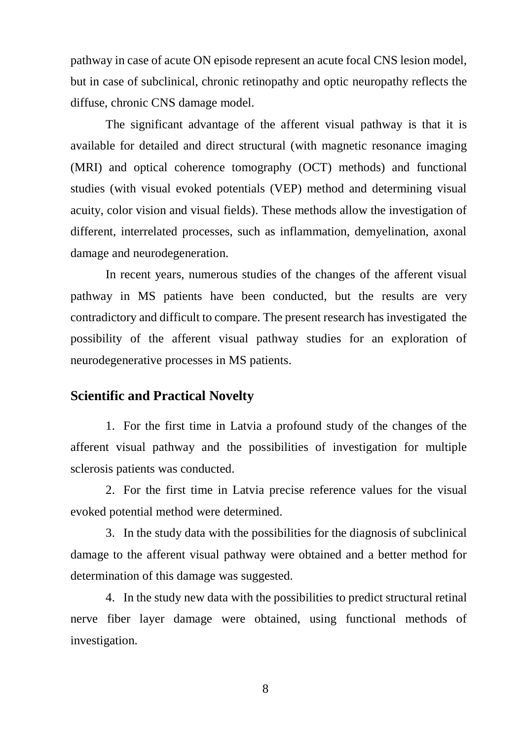pathway in case of acute ON episode represent an acute focal CNS lesion model, but in case of subclinical, chronic retinopathy and optic neuropathy reflects the diffuse, chronic CNS damage model.

The significant advantage of the afferent visual pathway is that it is available for detailed and direct structural (with magnetic resonance imaging (MRI) and optical coherence tomography (OCT) methods) and functional studies (with visual evoked potentials (VEP) method and determining visual acuity, color vision and visual fields). These methods allow the investigation of different, interrelated processes, such as inflammation, demyelination, axonal damage and neurodegeneration.

In recent years, numerous studies of the changes of the afferent visual pathway in MS patients have been conducted, but the results are very contradictory and difficult to compare. The present research has investigated the possibility of the afferent visual pathway studies for an exploration of neurodegenerative processes in MS patients.

#### <span id="page-8-0"></span>**Scientific and Practical Novelty**

1. For the first time in Latvia a profound study of the changes of the afferent visual pathway and the possibilities of investigation for multiple sclerosis patients was conducted.

2. For the first time in Latvia precise reference values for the visual evoked potential method were determined.

3. In the study data with the possibilities for the diagnosis of subclinical damage to the afferent visual pathway were obtained and a better method for determination of this damage was suggested.

4. In the study new data with the possibilities to predict structural retinal nerve fiber layer damage were obtained, using functional methods of investigation.

8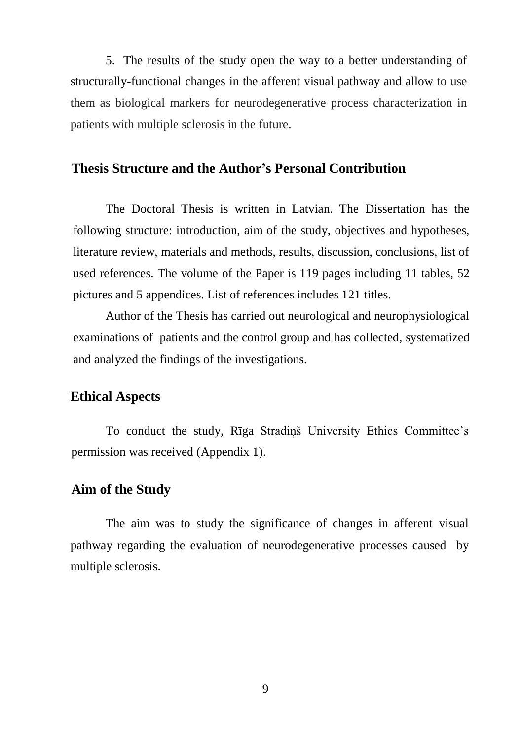5. The results of the study open the way to a better understanding of structurally-functional changes in the afferent visual pathway and allow to use them as biological markers for neurodegenerative process characterization in patients with multiple sclerosis in the future.

#### <span id="page-9-0"></span>**Thesis Structure and the Author's Personal Contribution**

The Doctoral Thesis is written in Latvian. The Dissertation has the following structure: introduction, aim of the study, objectives and hypotheses, literature review, materials and methods, results, discussion, conclusions, list of used references. The volume of the Paper is 119 pages including 11 tables, 52 pictures and 5 appendices. List of references includes 121 titles.

Author of the Thesis has carried out neurological and neurophysiological examinations of patients and the control group and has collected, systematized and analyzed the findings of the investigations.

#### <span id="page-9-1"></span>**Ethical Aspects**

To conduct the study, Rīga Stradiņš University Ethics Committee's permission was received (Appendix 1).

#### <span id="page-9-2"></span>**Aim of the Study**

The aim was to study the significance of changes in afferent visual pathway regarding the evaluation of neurodegenerative processes caused by multiple sclerosis.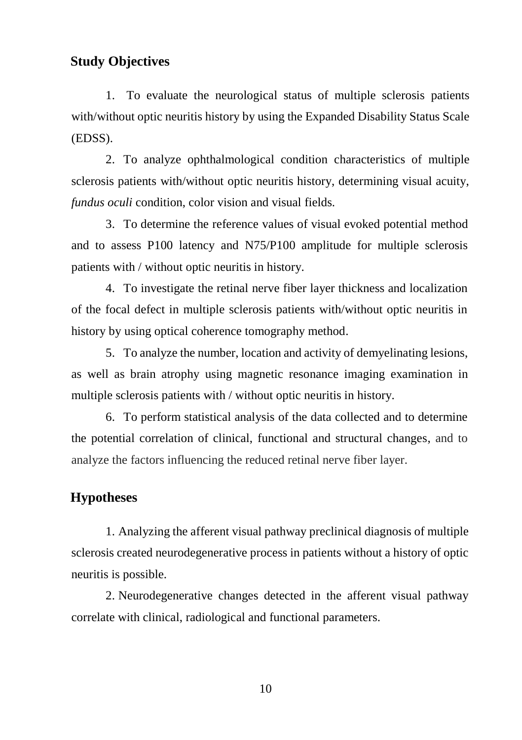## <span id="page-10-0"></span>**Study Objectives**

1. To evaluate the neurological status of multiple sclerosis patients with/without optic neuritis history by using the Expanded Disability Status Scale (EDSS).

2. To analyze ophthalmological condition characteristics of multiple sclerosis patients with/without optic neuritis history, determining visual acuity, *fundus oculi* condition, color vision and visual fields.

3. To determine the reference values of visual evoked potential method and to assess P100 latency and N75/P100 amplitude for multiple sclerosis patients with / without optic neuritis in history.

4. To investigate the retinal nerve fiber layer thickness and localization of the focal defect in multiple sclerosis patients with/without optic neuritis in history by using optical coherence tomography method.

5. To analyze the number, location and activity of demyelinating lesions, as well as brain atrophy using magnetic resonance imaging examination in multiple sclerosis patients with / without optic neuritis in history.

6. To perform statistical analysis of the data collected and to determine the potential correlation of clinical, functional and structural changes, and to analyze the factors influencing the reduced retinal nerve fiber layer.

### <span id="page-10-1"></span>**Hypotheses**

1. Analyzing the afferent visual pathway preclinical diagnosis of multiple sclerosis created neurodegenerative process in patients without a history of optic neuritis is possible.

2. Neurodegenerative changes detected in the afferent visual pathway correlate with clinical, radiological and functional parameters.

10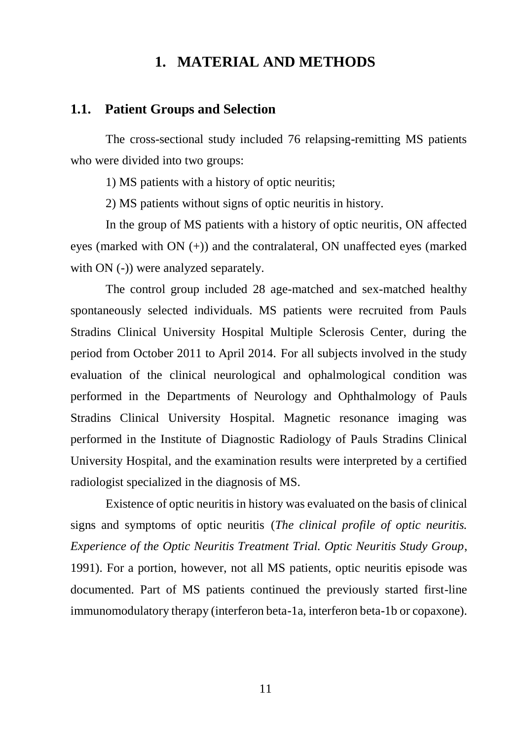## **1. MATERIAL AND METHODS**

#### <span id="page-11-0"></span>**1.1. Patient Groups and Selection**

The cross-sectional study included 76 relapsing-remitting MS patients who were divided into two groups:

1) MS patients with a history of optic neuritis;

2) MS patients without signs of optic neuritis in history.

In the group of MS patients with a history of optic neuritis, ON affected eyes (marked with ON (+)) and the contralateral, ON unaffected eyes (marked with ON (-)) were analyzed separately.

The control group included 28 age-matched and sex-matched healthy spontaneously selected individuals. MS patients were recruited from Pauls Stradins Clinical University Hospital Multiple Sclerosis Center, during the period from October 2011 to April 2014. For all subjects involved in the study evaluation of the clinical neurological and ophalmological condition was performed in the Departments of Neurology and Ophthalmology of Pauls Stradins Clinical University Hospital. Magnetic resonance imaging was performed in the Institute of Diagnostic Radiology of Pauls Stradins Clinical University Hospital, and the examination results were interpreted by a certified radiologist specialized in the diagnosis of MS.

Existence of optic neuritis in history was evaluated on the basis of clinical signs and symptoms of optic neuritis (*The clinical profile of optic neuritis. Experience of the Optic Neuritis Treatment Trial. Optic Neuritis Study Group*, 1991). For a portion, however, not all MS patients, optic neuritis episode was documented. Part of MS patients continued the previously started first-line immunomodulatory therapy (interferon beta-1a, interferon beta-1b or copaxone).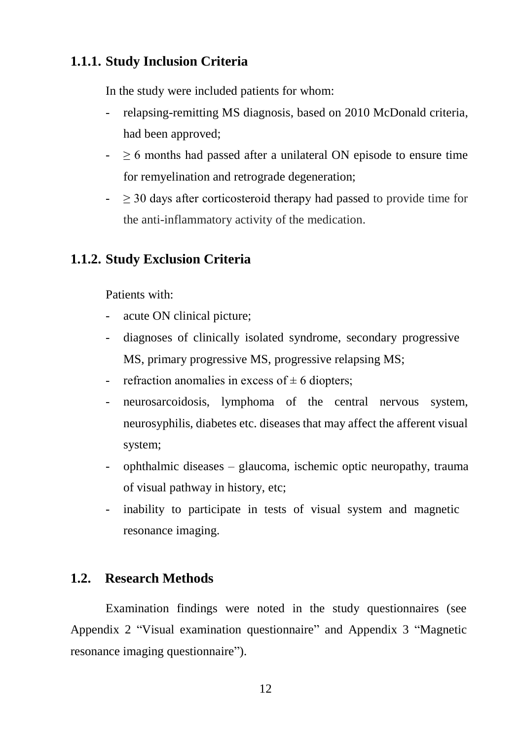## <span id="page-12-0"></span>**1.1.1. Study Inclusion Criteria**

In the study were included patients for whom:

- relapsing-remitting MS diagnosis, based on 2010 McDonald criteria, had been approved;
- $\geq 6$  months had passed after a unilateral ON episode to ensure time for remyelination and retrograde degeneration;
- $\geq 30$  days after corticosteroid therapy had passed to provide time for the anti-inflammatory activity of the medication.

## <span id="page-12-1"></span>**1.1.2. Study Exclusion Criteria**

Patients with:

- acute ON clinical picture;
- diagnoses of clinically isolated syndrome, secondary progressive MS, primary progressive MS, progressive relapsing MS;
- refraction anomalies in excess of  $\pm$  6 diopters;
- neurosarcoidosis, lymphoma of the central nervous system, neurosyphilis, diabetes etc. diseases that may affect the afferent visual system;
- ophthalmic diseases glaucoma, ischemic optic neuropathy, trauma of visual pathway in history, etc;
- inability to participate in tests of visual system and magnetic resonance imaging.

## <span id="page-12-2"></span>**1.2. Research Methods**

Examination findings were noted in the study questionnaires (see Appendix 2 "Visual examination questionnaire" and Appendix 3 "Magnetic resonance imaging questionnaire").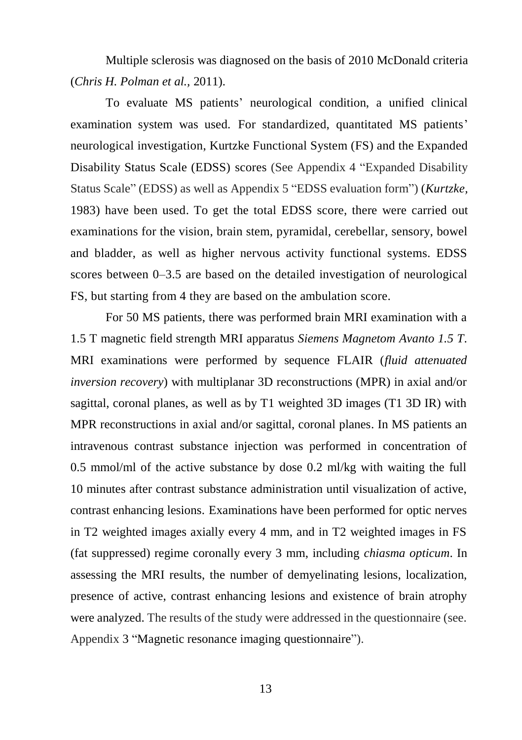Multiple sclerosis was diagnosed on the basis of 2010 McDonald criteria (*Chris H. Polman et al.,* 2011).

To evaluate MS patients' neurological condition, a unified clinical examination system was used. For standardized, quantitated MS patients' neurological investigation, Kurtzke Functional System (FS) and the Expanded Disability Status Scale (EDSS) scores (See Appendix 4 "Expanded Disability Status Scale" (EDSS) as well as Appendix 5 "EDSS evaluation form") (*Kurtzke,* 1983) have been used. To get the total EDSS score, there were carried out examinations for the vision, brain stem, pyramidal, cerebellar, sensory, bowel and bladder, as well as higher nervous activity functional systems. EDSS scores between 0–3.5 are based on the detailed investigation of neurological FS, but starting from 4 they are based on the ambulation score.

For 50 MS patients, there was performed brain MRI examination with a 1.5 T magnetic field strength MRI apparatus *Siemens Magnetom Avanto 1.5 T*. MRI examinations were performed by sequence FLAIR (*fluid attenuated inversion recovery*) with multiplanar 3D reconstructions (MPR) in axial and/or sagittal, coronal planes, as well as by T1 weighted 3D images (T1 3D IR) with MPR reconstructions in axial and/or sagittal, coronal planes. In MS patients an intravenous contrast substance injection was performed in concentration of 0.5 mmol/ml of the active substance by dose 0.2 ml/kg with waiting the full 10 minutes after contrast substance administration until visualization of active, contrast enhancing lesions. Examinations have been performed for optic nerves in T2 weighted images axially every 4 mm, and in T2 weighted images in FS (fat suppressed) regime coronally every 3 mm, including *chiasma opticum*. In assessing the MRI results, the number of demyelinating lesions, localization, presence of active, contrast enhancing lesions and existence of brain atrophy were analyzed. The results of the study were addressed in the questionnaire (see. Appendix 3 "Magnetic resonance imaging questionnaire").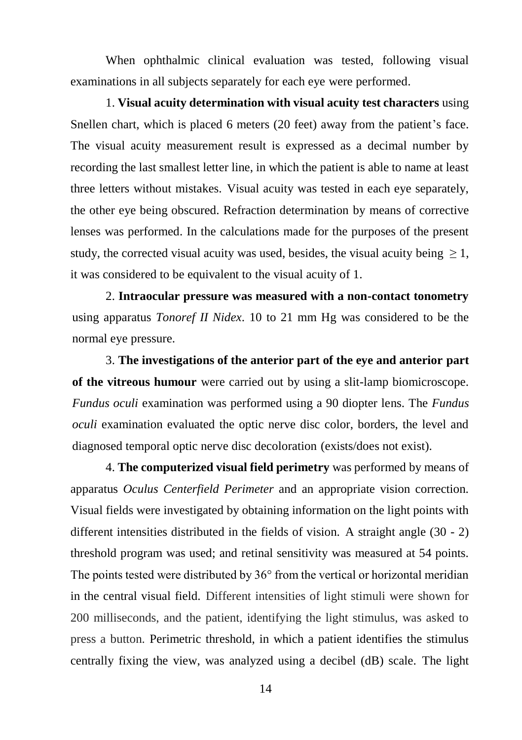When ophthalmic clinical evaluation was tested, following visual examinations in all subjects separately for each eye were performed.

1. **Visual acuity determination with visual acuity test characters** using Snellen chart, which is placed 6 meters (20 feet) away from the patient's face. The visual acuity measurement result is expressed as a decimal number by recording the last smallest letter line, in which the patient is able to name at least three letters without mistakes. Visual acuity was tested in each eye separately, the other eye being obscured. Refraction determination by means of corrective lenses was performed. In the calculations made for the purposes of the present study, the corrected visual acuity was used, besides, the visual acuity being  $\geq 1$ , it was considered to be equivalent to the visual acuity of 1.

2. **Intraocular pressure was measured with a non-contact tonometry** using apparatus *Tonoref II Nidex*. 10 to 21 mm Hg was considered to be the normal eye pressure.

3. **The investigations of the anterior part of the eye and anterior part of the vitreous humour** were carried out by using a slit-lamp biomicroscope. *Fundus oculi* examination was performed using a 90 diopter lens. The *Fundus oculi* examination evaluated the optic nerve disc color, borders, the level and diagnosed temporal optic nerve disc decoloration (exists/does not exist).

4. **The computerized visual field perimetry** was performed by means of apparatus *Oculus Centerfield Perimeter* and an appropriate vision correction. Visual fields were investigated by obtaining information on the light points with different intensities distributed in the fields of vision. A straight angle (30 - 2) threshold program was used; and retinal sensitivity was measured at 54 points. The points tested were distributed by 36° from the vertical or horizontal meridian in the central visual field. Different intensities of light stimuli were shown for 200 milliseconds, and the patient, identifying the light stimulus, was asked to press a button. Perimetric threshold, in which a patient identifies the stimulus centrally fixing the view, was analyzed using a decibel (dB) scale. The light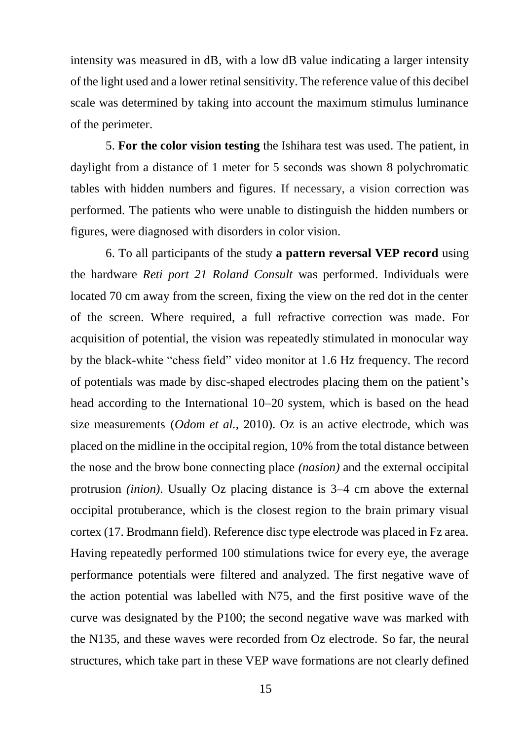intensity was measured in dB, with a low dB value indicating a larger intensity of the light used and a lower retinal sensitivity. The reference value of this decibel scale was determined by taking into account the maximum stimulus luminance of the perimeter.

5. **For the color vision testing** the Ishihara test was used. The patient, in daylight from a distance of 1 meter for 5 seconds was shown 8 polychromatic tables with hidden numbers and figures. If necessary, a vision correction was performed. The patients who were unable to distinguish the hidden numbers or figures, were diagnosed with disorders in color vision.

6. To all participants of the study **a pattern reversal VEP record** using the hardware *Reti port 21 Roland Consult* was performed. Individuals were located 70 cm away from the screen, fixing the view on the red dot in the center of the screen. Where required, a full refractive correction was made. For acquisition of potential, the vision was repeatedly stimulated in monocular way by the black-white "chess field" video monitor at 1.6 Hz frequency. The record of potentials was made by disc-shaped electrodes placing them on the patient's head according to the International 10–20 system, which is based on the head size measurements (*Odom et al.,* 2010). Oz is an active electrode, which was placed on the midline in the occipital region, 10% from the total distance between the nose and the brow bone connecting place *(nasion)* and the external occipital protrusion *(inion)*. Usually Oz placing distance is 3–4 cm above the external occipital protuberance, which is the closest region to the brain primary visual cortex (17. Brodmann field). Reference disc type electrode was placed in Fz area. Having repeatedly performed 100 stimulations twice for every eye, the average performance potentials were filtered and analyzed. The first negative wave of the action potential was labelled with N75, and the first positive wave of the curve was designated by the P100; the second negative wave was marked with the N135, and these waves were recorded from Oz electrode. So far, the neural structures, which take part in these VEP wave formations are not clearly defined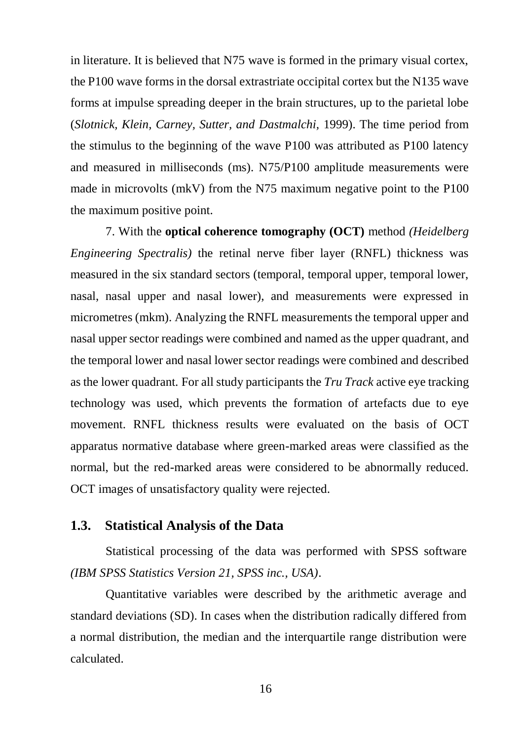in literature. It is believed that N75 wave is formed in the primary visual cortex, the P100 wave forms in the dorsal extrastriate occipital cortex but the N135 wave forms at impulse spreading deeper in the brain structures, up to the parietal lobe (*Slotnick, Klein, Carney, Sutter, and Dastmalchi,* 1999). The time period from the stimulus to the beginning of the wave P100 was attributed as P100 latency and measured in milliseconds (ms). N75/P100 amplitude measurements were made in microvolts (mkV) from the N75 maximum negative point to the P100 the maximum positive point.

7. With the **optical coherence tomography (OCT)** method *(Heidelberg Engineering Spectralis)* the retinal nerve fiber layer (RNFL) thickness was measured in the six standard sectors (temporal, temporal upper, temporal lower, nasal, nasal upper and nasal lower), and measurements were expressed in micrometres (mkm). Analyzing the RNFL measurements the temporal upper and nasal upper sector readings were combined and named as the upper quadrant, and the temporal lower and nasal lower sector readings were combined and described as the lower quadrant. For all study participants the *Tru Track* active eye tracking technology was used, which prevents the formation of artefacts due to eye movement. RNFL thickness results were evaluated on the basis of OCT apparatus normative database where green-marked areas were classified as the normal, but the red-marked areas were considered to be abnormally reduced. OCT images of unsatisfactory quality were rejected.

#### <span id="page-16-0"></span>**1.3. Statistical Analysis of the Data**

Statistical processing of the data was performed with SPSS software *(IBM SPSS Statistics Version 21, SPSS inc., USA)*.

Quantitative variables were described by the arithmetic average and standard deviations (SD). In cases when the distribution radically differed from a normal distribution, the median and the interquartile range distribution were calculated.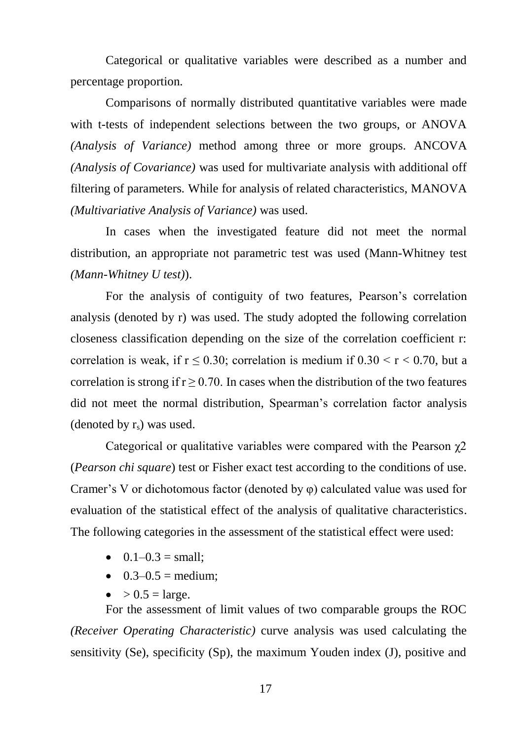Categorical or qualitative variables were described as a number and percentage proportion.

Comparisons of normally distributed quantitative variables were made with t-tests of independent selections between the two groups, or ANOVA *(Analysis of Variance)* method among three or more groups. ANCOVA *(Analysis of Covariance)* was used for multivariate analysis with additional off filtering of parameters*.* While for analysis of related characteristics, MANOVA *(Multivariative Analysis of Variance)* was used.

In cases when the investigated feature did not meet the normal distribution, an appropriate not parametric test was used (Mann-Whitney test *(Mann-Whitney U test)*).

For the analysis of contiguity of two features, Pearson's correlation analysis (denoted by r) was used. The study adopted the following correlation closeness classification depending on the size of the correlation coefficient r: correlation is weak, if  $r \le 0.30$ ; correlation is medium if  $0.30 < r < 0.70$ , but a correlation is strong if  $r \geq 0.70$ . In cases when the distribution of the two features did not meet the normal distribution, Spearman's correlation factor analysis (denoted by  $r_s$ ) was used.

Categorical or qualitative variables were compared with the Pearson  $\chi$ 2 (*Pearson chi square*) test or Fisher exact test according to the conditions of use. Cramer's V or dichotomous factor (denoted by φ) calculated value was used for evaluation of the statistical effect of the analysis of qualitative characteristics. The following categories in the assessment of the statistical effect were used:

- $\bullet$  0.1–0.3 = small:
- $0.3-0.5$  = medium;
- $\bullet$  > 0.5 = large.

For the assessment of limit values of two comparable groups the ROC *(Receiver Operating Characteristic)* curve analysis was used calculating the sensitivity (Se), specificity (Sp), the maximum Youden index (J), positive and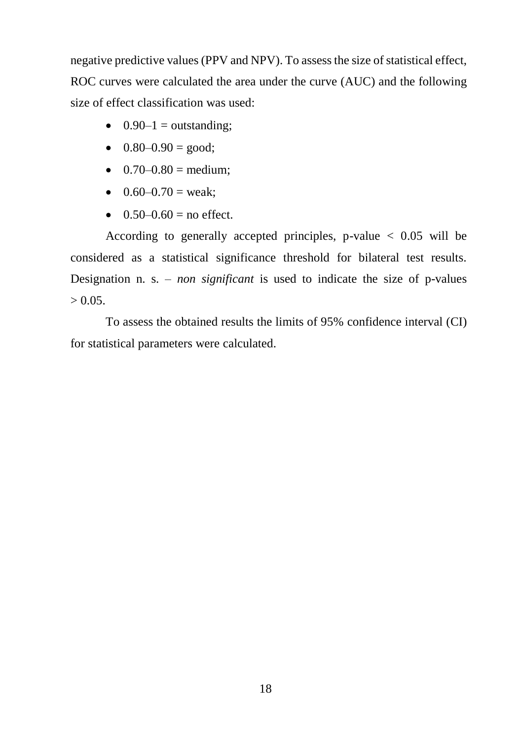negative predictive values (PPV and NPV). To assess the size of statistical effect, ROC curves were calculated the area under the curve (AUC) and the following size of effect classification was used:

- $\bullet$  0.90–1 = outstanding;
- $0.80-0.90 = \text{good};$
- $\bullet$  0.70–0.80 = medium;
- $0.60-0.70$  = weak;
- $0.50-0.60 =$  no effect.

According to generally accepted principles, p-value  $< 0.05$  will be considered as a statistical significance threshold for bilateral test results. Designation n. s. – *non significant* is used to indicate the size of p-values  $> 0.05$ .

To assess the obtained results the limits of 95% confidence interval (CI) for statistical parameters were calculated.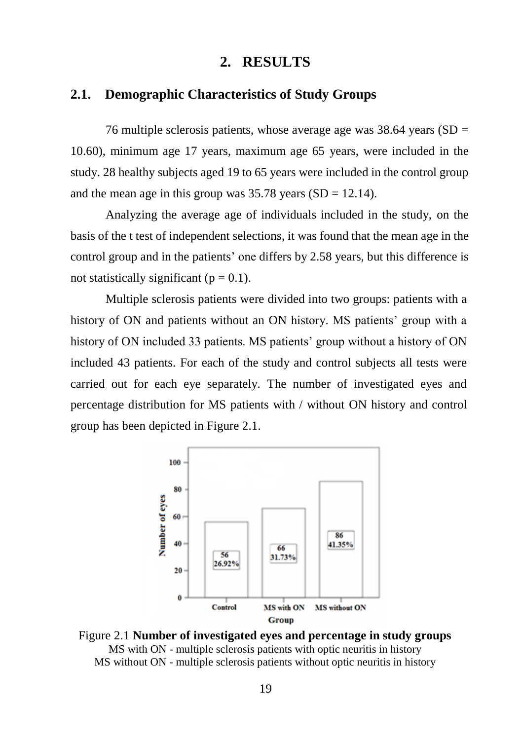## **2. RESULTS**

## <span id="page-19-1"></span><span id="page-19-0"></span>**2.1. Demographic Characteristics of Study Groups**

76 multiple sclerosis patients, whose average age was  $38.64$  years (SD = 10.60), minimum age 17 years, maximum age 65 years, were included in the study. 28 healthy subjects aged 19 to 65 years were included in the control group and the mean age in this group was  $35.78$  years (SD = 12.14).

Analyzing the average age of individuals included in the study, on the basis of the t test of independent selections, it was found that the mean age in the control group and in the patients' one differs by 2.58 years, but this difference is not statistically significant ( $p = 0.1$ ).

Multiple sclerosis patients were divided into two groups: patients with a history of ON and patients without an ON history. MS patients' group with a history of ON included 33 patients. MS patients' group without a history of ON included 43 patients. For each of the study and control subjects all tests were carried out for each eye separately. The number of investigated eyes and percentage distribution for MS patients with / without ON history and control group has been depicted in Figure 2.1.



Figure 2.1 **Number of investigated eyes and percentage in study groups** MS with ON - multiple sclerosis patients with optic neuritis in history MS without ON - multiple sclerosis patients without optic neuritis in history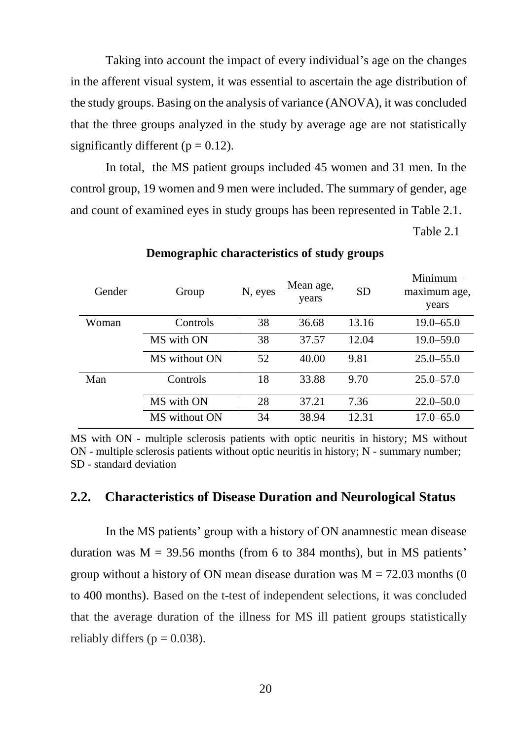Taking into account the impact of every individual's age on the changes in the afferent visual system, it was essential to ascertain the age distribution of the study groups. Basing on the analysis of variance (ANOVA), it was concluded that the three groups analyzed in the study by average age are not statistically significantly different ( $p = 0.12$ ).

In total, the MS patient groups included 45 women and 31 men. In the control group, 19 women and 9 men were included. The summary of gender, age and count of examined eyes in study groups has been represented in Table 2.1.

Table 2.1

Minimum–

| Gender | Group         | N, eyes | Mean age,<br>years | <b>SD</b> | Nunum—<br>maximum age,<br>years |
|--------|---------------|---------|--------------------|-----------|---------------------------------|
| Woman  | Controls      | 38      | 36.68              | 13.16     | $19.0 - 65.0$                   |
|        | MS with ON    | 38      | 37.57              | 12.04     | $19.0 - 59.0$                   |
|        | MS without ON | 52      | 40.00              | 9.81      | $25.0 - 55.0$                   |
| Man    | Controls      | 18      | 33.88              | 9.70      | $25.0 - 57.0$                   |
|        | MS with ON    | 28      | 37.21              | 7.36      | $22.0 - 50.0$                   |
|        | MS without ON | 34      | 38.94              | 12.31     | $17.0 - 65.0$                   |

#### **Demographic characteristics of study groups**

MS with ON - multiple sclerosis patients with optic neuritis in history; MS without ON - multiple sclerosis patients without optic neuritis in history; N - summary number; SD - standard deviation

#### <span id="page-20-0"></span>**2.2. Characteristics of Disease Duration and Neurological Status**

In the MS patients' group with a history of ON anamnestic mean disease duration was  $M = 39.56$  months (from 6 to 384 months), but in MS patients' group without a history of ON mean disease duration was  $M = 72.03$  months (0) to 400 months). Based on the t-test of independent selections, it was concluded that the average duration of the illness for MS ill patient groups statistically reliably differs ( $p = 0.038$ ).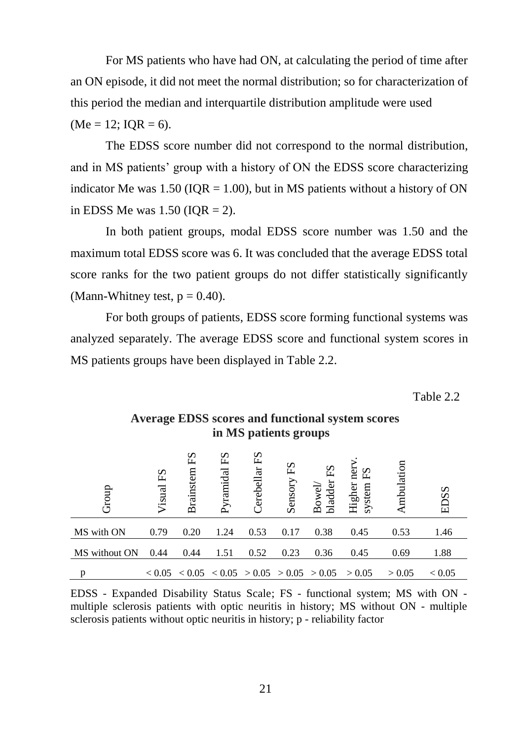For MS patients who have had ON, at calculating the period of time after an ON episode, it did not meet the normal distribution; so for characterization of this period the median and interquartile distribution amplitude were used  $(Me = 12; IOR = 6).$ 

The EDSS score number did not correspond to the normal distribution, and in MS patients' group with a history of ON the EDSS score characterizing indicator Me was  $1.50$  (IQR = 1.00), but in MS patients without a history of ON in EDSS Me was  $1.50$  (IQR = 2).

In both patient groups, modal EDSS score number was 1.50 and the maximum total EDSS score was 6. It was concluded that the average EDSS total score ranks for the two patient groups do not differ statistically significantly (Mann-Whitney test,  $p = 0.40$ ).

For both groups of patients, EDSS score forming functional systems was analyzed separately. The average EDSS score and functional system scores in MS patients groups have been displayed in Table 2.2.

Table 2.2

| Group                                                                                                                                                                                                                                                 | $_{\rm F}$ S<br>Visual | ΕS<br>Brainstem                                       | ΕS<br>Pyramidal | $_{\rm F2}$<br>Cerebellar | ΕS<br>Sensory | bladder<br>Bowel/ | ner<br>$E_{\rm S}$<br>Higher<br>system l | mbulation | EDSS          |
|-------------------------------------------------------------------------------------------------------------------------------------------------------------------------------------------------------------------------------------------------------|------------------------|-------------------------------------------------------|-----------------|---------------------------|---------------|-------------------|------------------------------------------|-----------|---------------|
| MS with ON                                                                                                                                                                                                                                            | 0.79                   | 0.20                                                  | 1.24            | 0.53                      | 0.17          | 0.38              | 0.45                                     | 0.53      | 1.46          |
| MS without ON                                                                                                                                                                                                                                         | 0.44                   | 0.44                                                  | 1.51            | 0.52                      | 0.23          | 0.36              | 0.45                                     | 0.69      | 1.88          |
| р                                                                                                                                                                                                                                                     |                        | $< 0.05$ $< 0.05$ $< 0.05$ $> 0.05$ $> 0.05$ $> 0.05$ |                 |                           |               |                   | > 0.05                                   | > 0.05    | ${}_{< 0.05}$ |
| EDSS - Expanded Disability Status Scale; FS - functional system; MS with ON -<br>multiple sclerosis patients with optic neuritis in history; MS without ON - multiple<br>sclerosis patients without optic neuritis in history; p - reliability factor |                        |                                                       |                 |                           |               |                   |                                          |           |               |

**Average EDSS scores and functional system scores in MS patients groups**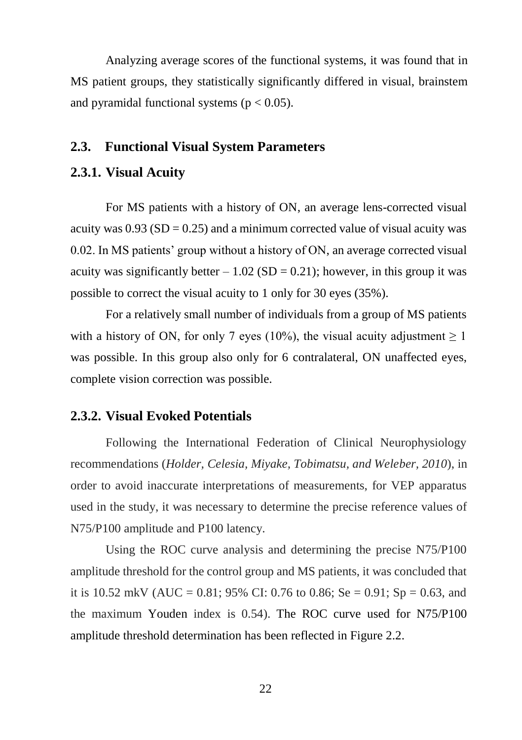Analyzing average scores of the functional systems, it was found that in MS patient groups, they statistically significantly differed in visual, brainstem and pyramidal functional systems ( $p < 0.05$ ).

## <span id="page-22-0"></span>**2.3. Functional Visual System Parameters**

#### <span id="page-22-1"></span>**2.3.1. Visual Acuity**

For MS patients with a history of ON, an average lens-corrected visual acuity was  $0.93$  (SD = 0.25) and a minimum corrected value of visual acuity was 0.02. In MS patients' group without a history of ON, an average corrected visual acuity was significantly better  $-1.02$  (SD = 0.21); however, in this group it was possible to correct the visual acuity to 1 only for 30 eyes (35%).

For a relatively small number of individuals from a group of MS patients with a history of ON, for only 7 eyes (10%), the visual acuity adjustment  $\geq 1$ was possible. In this group also only for 6 contralateral, ON unaffected eyes, complete vision correction was possible.

#### **2.3.2. Visual Evoked Potentials**

Following the International Federation of Clinical Neurophysiology recommendations (*Holder, Celesia, Miyake, Tobimatsu, and Weleber, 2010*), in order to avoid inaccurate interpretations of measurements, for VEP apparatus used in the study, it was necessary to determine the precise reference values of N75/P100 amplitude and P100 latency.

Using the ROC curve analysis and determining the precise N75/P100 amplitude threshold for the control group and MS patients, it was concluded that it is 10.52 mkV (AUC = 0.81; 95% CI: 0.76 to 0.86; Se = 0.91; Sp = 0.63, and the maximum Youden index is 0.54). The ROC curve used for N75/P100 amplitude threshold determination has been reflected in Figure 2.2.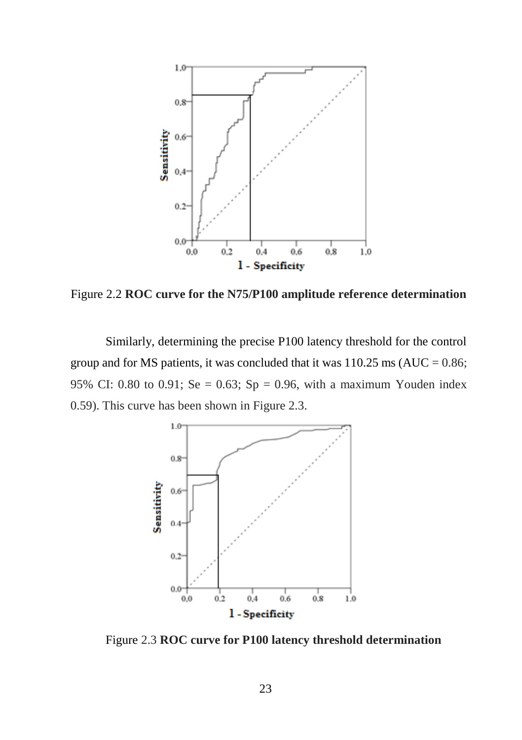

Figure 2.2 **ROC curve for the N75/P100 amplitude reference determination**

Similarly, determining the precise P100 latency threshold for the control group and for MS patients, it was concluded that it was  $110.25 \text{ ms}$  (AUC = 0.86; 95% CI: 0.80 to 0.91; Se = 0.63; Sp = 0.96, with a maximum Youden index 0.59). This curve has been shown in Figure 2.3.

![](_page_23_Figure_3.jpeg)

Figure 2.3 **ROC curve for P100 latency threshold determination**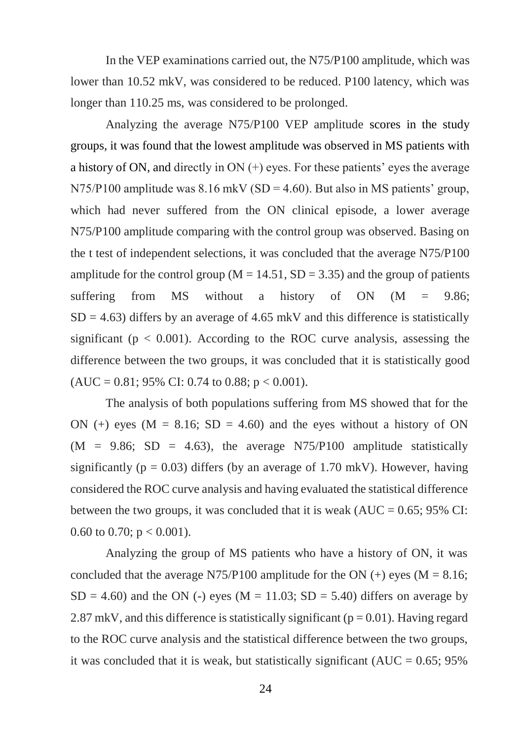In the VEP examinations carried out, the N75/P100 amplitude, which was lower than 10.52 mkV, was considered to be reduced. P100 latency, which was longer than 110.25 ms, was considered to be prolonged.

Analyzing the average N75/P100 VEP amplitude scores in the study groups, it was found that the lowest amplitude was observed in MS patients with a history of ON, and directly in ON (+) eyes. For these patients' eyes the average  $N75/P100$  amplitude was  $8.16$  mkV (SD = 4.60). But also in MS patients' group, which had never suffered from the ON clinical episode, a lower average N75/P100 amplitude comparing with the control group was observed. Basing on the t test of independent selections, it was concluded that the average N75/P100 amplitude for the control group ( $M = 14.51$ ,  $SD = 3.35$ ) and the group of patients suffering from MS without a history of  $ON$   $(M = 9.86;$  $SD = 4.63$ ) differs by an average of 4.65 mkV and this difference is statistically significant ( $p < 0.001$ ). According to the ROC curve analysis, assessing the difference between the two groups, it was concluded that it is statistically good  $(AUC = 0.81; 95\% CI: 0.74$  to 0.88;  $p < 0.001$ ).

The analysis of both populations suffering from MS showed that for the ON (+) eyes ( $M = 8.16$ ; SD = 4.60) and the eyes without a history of ON  $(M = 9.86; SD = 4.63)$ , the average N75/P100 amplitude statistically significantly ( $p = 0.03$ ) differs (by an average of 1.70 mkV). However, having considered the ROC curve analysis and having evaluated the statistical difference between the two groups, it was concluded that it is weak  $(AUC = 0.65; 95\% CI$ : 0.60 to 0.70;  $p < 0.001$ ).

Analyzing the group of MS patients who have a history of ON, it was concluded that the average N75/P100 amplitude for the ON  $(+)$  eyes  $(M = 8.16;$  $SD = 4.60$ ) and the ON (-) eyes (M = 11.03; SD = 5.40) differs on average by 2.87 mkV, and this difference is statistically significant ( $p = 0.01$ ). Having regard to the ROC curve analysis and the statistical difference between the two groups, it was concluded that it is weak, but statistically significant ( $AUC = 0.65$ ; 95%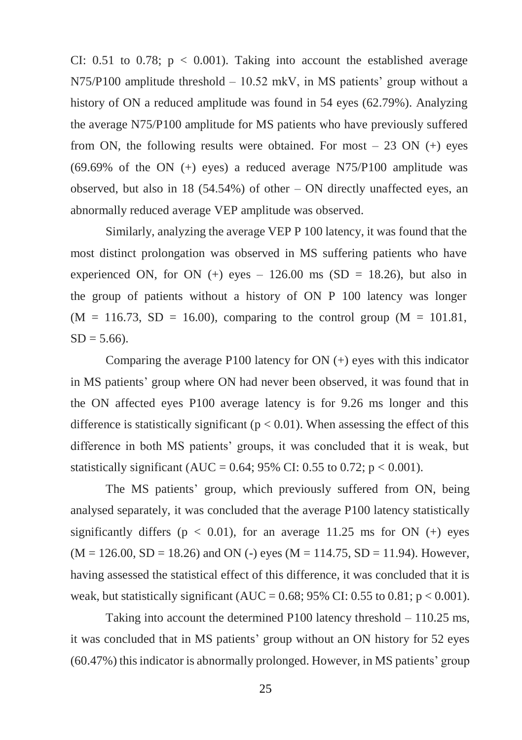CI: 0.51 to 0.78;  $p < 0.001$ ). Taking into account the established average N75/P100 amplitude threshold – 10.52 mkV, in MS patients' group without a history of ON a reduced amplitude was found in 54 eyes (62.79%). Analyzing the average N75/P100 amplitude for MS patients who have previously suffered from ON, the following results were obtained. For most  $-23$  ON  $(+)$  eyes  $(69.69\% \text{ of the ON } (+) \text{ eyes})$  a reduced average N75/P100 amplitude was observed, but also in 18  $(54.54%)$  of other – ON directly unaffected eyes, an abnormally reduced average VEP amplitude was observed.

Similarly, analyzing the average VEP P 100 latency, it was found that the most distinct prolongation was observed in MS suffering patients who have experienced ON, for ON  $(+)$  eyes – 126.00 ms (SD = 18.26), but also in the group of patients without a history of ON P 100 latency was longer  $(M = 116.73, SD = 16.00)$ , comparing to the control group  $(M = 101.81,$  $SD = 5.66$ ).

Comparing the average P100 latency for ON (+) eyes with this indicator in MS patients' group where ON had never been observed, it was found that in the ON affected eyes P100 average latency is for 9.26 ms longer and this difference is statistically significant ( $p < 0.01$ ). When assessing the effect of this difference in both MS patients' groups, it was concluded that it is weak, but statistically significant (AUC =  $0.64$ ; 95% CI: 0.55 to 0.72; p < 0.001).

The MS patients' group, which previously suffered from ON, being analysed separately, it was concluded that the average P100 latency statistically significantly differs ( $p < 0.01$ ), for an average 11.25 ms for ON (+) eyes  $(M = 126.00, SD = 18.26)$  and ON (-) eyes  $(M = 114.75, SD = 11.94)$ . However, having assessed the statistical effect of this difference, it was concluded that it is weak, but statistically significant (AUC =  $0.68$ ; 95% CI:  $0.55$  to  $0.81$ ;  $p < 0.001$ ).

Taking into account the determined P100 latency threshold – 110.25 ms, it was concluded that in MS patients' group without an ON history for 52 eyes (60.47%) this indicator is abnormally prolonged. However, in MS patients' group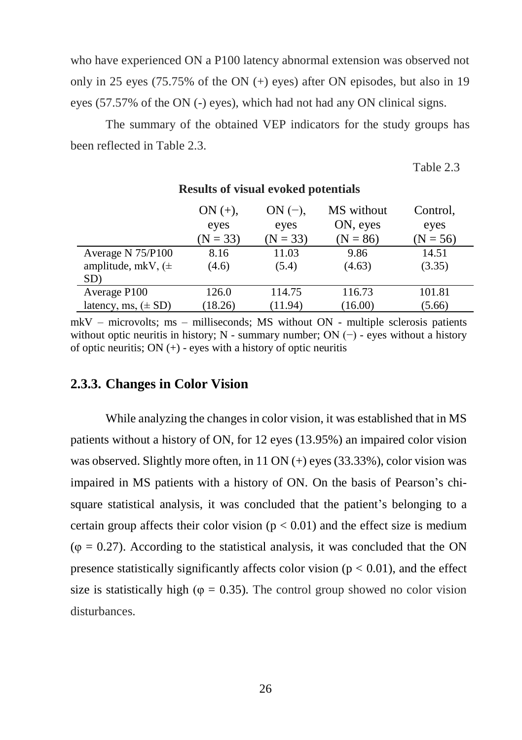who have experienced ON a P100 latency abnormal extension was observed not only in 25 eyes (75.75% of the ON (+) eyes) after ON episodes, but also in 19 eyes (57.57% of the ON (-) eyes), which had not had any ON clinical signs.

The summary of the obtained VEP indicators for the study groups has been reflected in Table 2.3.

**Results of visual evoked potentials**

Table 2.3

|                               | $ON (+)$ ,<br>eyes<br>$(N = 33)$ | $ON(-),$<br>eyes<br>$(N = 33)$ | MS without<br>ON, eyes<br>$(N = 86)$ | Control,<br>eyes<br>$(N = 56)$ |
|-------------------------------|----------------------------------|--------------------------------|--------------------------------------|--------------------------------|
| Average N 75/P100             | 8.16                             | 11.03                          | 9.86                                 | 14.51                          |
| amplitude, mkV, $(\pm$<br>SD) | (4.6)                            | (5.4)                          | (4.63)                               | (3.35)                         |
| Average P100                  | 126.0                            | 114.75                         | 116.73                               | 101.81                         |
| latency, ms, $(\pm SD)$       | (18.26)                          | (11.94)                        | (16.00)                              | (5.66)                         |

mkV – microvolts; ms – milliseconds; MS without ON - multiple sclerosis patients without optic neuritis in history; N - summary number; ON  $(-)$  - eyes without a history of optic neuritis;  $ON (+)$  - eyes with a history of optic neuritis

#### <span id="page-26-0"></span>**2.3.3. Changes in Color Vision**

While analyzing the changes in color vision, it was established that in MS patients without a history of ON, for 12 eyes (13.95%) an impaired color vision was observed. Slightly more often, in 11 ON (+) eyes (33.33%), color vision was impaired in MS patients with a history of ON. On the basis of Pearson's chisquare statistical analysis, it was concluded that the patient's belonging to a certain group affects their color vision ( $p < 0.01$ ) and the effect size is medium  $(\varphi = 0.27)$ . According to the statistical analysis, it was concluded that the ON presence statistically significantly affects color vision  $(p < 0.01)$ , and the effect size is statistically high ( $\varphi = 0.35$ ). The control group showed no color vision disturbances.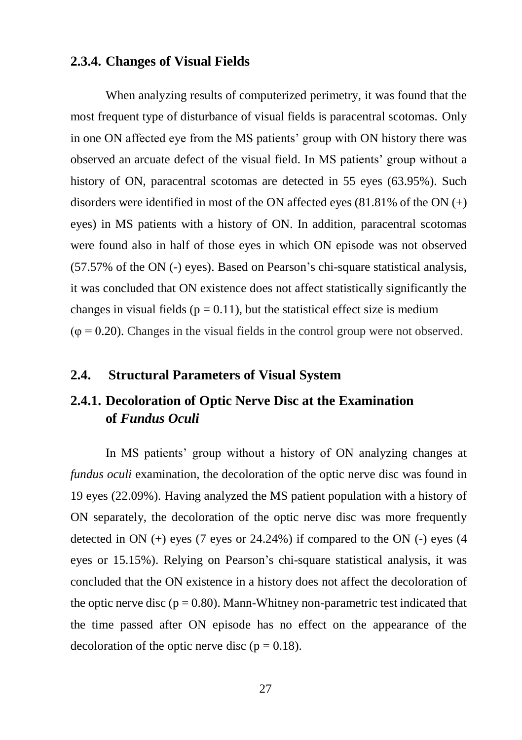## <span id="page-27-0"></span>**2.3.4. Changes of Visual Fields**

When analyzing results of computerized perimetry, it was found that the most frequent type of disturbance of visual fields is paracentral scotomas. Only in one ON affected eye from the MS patients' group with ON history there was observed an arcuate defect of the visual field. In MS patients' group without a history of ON, paracentral scotomas are detected in 55 eyes (63.95%). Such disorders were identified in most of the ON affected eyes  $(81.81\%$  of the ON  $(+)$ eyes) in MS patients with a history of ON. In addition, paracentral scotomas were found also in half of those eyes in which ON episode was not observed (57.57% of the ON (-) eyes). Based on Pearson's chi-square statistical analysis, it was concluded that ON existence does not affect statistically significantly the changes in visual fields ( $p = 0.11$ ), but the statistical effect size is medium  $(\varphi = 0.20)$ . Changes in the visual fields in the control group were not observed.

#### <span id="page-27-1"></span>**2.4. Structural Parameters of Visual System**

## <span id="page-27-2"></span>**2.4.1. Decoloration of Optic Nerve Disc at the Examination of** *Fundus Oculi*

In MS patients' group without a history of ON analyzing changes at *fundus oculi* examination, the decoloration of the optic nerve disc was found in 19 eyes (22.09%). Having analyzed the MS patient population with a history of ON separately, the decoloration of the optic nerve disc was more frequently detected in ON  $(+)$  eyes (7 eyes or 24.24%) if compared to the ON  $(-)$  eyes (4 eyes or 15.15%). Relying on Pearson's chi-square statistical analysis, it was concluded that the ON existence in a history does not affect the decoloration of the optic nerve disc ( $p = 0.80$ ). Mann-Whitney non-parametric test indicated that the time passed after ON episode has no effect on the appearance of the decoloration of the optic nerve disc ( $p = 0.18$ ).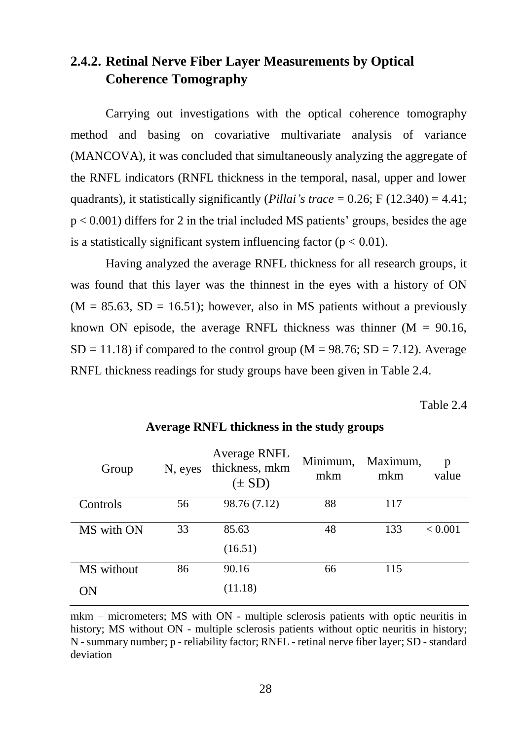## <span id="page-28-0"></span>**2.4.2. Retinal Nerve Fiber Layer Measurements by Optical Coherence Tomography**

Carrying out investigations with the optical coherence tomography method and basing on covariative multivariate analysis of variance (MANCOVA), it was concluded that simultaneously analyzing the aggregate of the RNFL indicators (RNFL thickness in the temporal, nasal, upper and lower quadrants), it statistically significantly (*Pillai's trace* =  $0.26$ ; F (12.340) = 4.41;  $p < 0.001$ ) differs for 2 in the trial included MS patients' groups, besides the age is a statistically significant system influencing factor  $(p < 0.01)$ .

Having analyzed the average RNFL thickness for all research groups, it was found that this layer was the thinnest in the eyes with a history of ON  $(M = 85.63, SD = 16.51)$ ; however, also in MS patients without a previously known ON episode, the average RNFL thickness was thinner  $(M = 90.16,$  $SD = 11.18$ ) if compared to the control group (M = 98.76;  $SD = 7.12$ ). Average RNFL thickness readings for study groups have been given in Table 2.4.

Table 2.4

| Group      | N, eyes | Average RNFL<br>thickness, mkm<br>$(\pm SD)$ | Minimum,<br>mkm | Maximum,<br>mkm | p<br>value |
|------------|---------|----------------------------------------------|-----------------|-----------------|------------|
| Controls   | 56      | 98.76 (7.12)                                 | 88              | 117             |            |
| MS with ON | 33      | 85.63                                        | 48              | 133             | < 0.001    |
|            |         | (16.51)                                      |                 |                 |            |
| MS without | 86      | 90.16                                        | 66              | 115             |            |
| ON         |         | (11.18)                                      |                 |                 |            |

#### **Average RNFL thickness in the study groups**

mkm – micrometers; MS with ON - multiple sclerosis patients with optic neuritis in history; MS without ON - multiple sclerosis patients without optic neuritis in history; N - summary number; p - reliability factor; RNFL - retinal nerve fiber layer; SD - standard deviation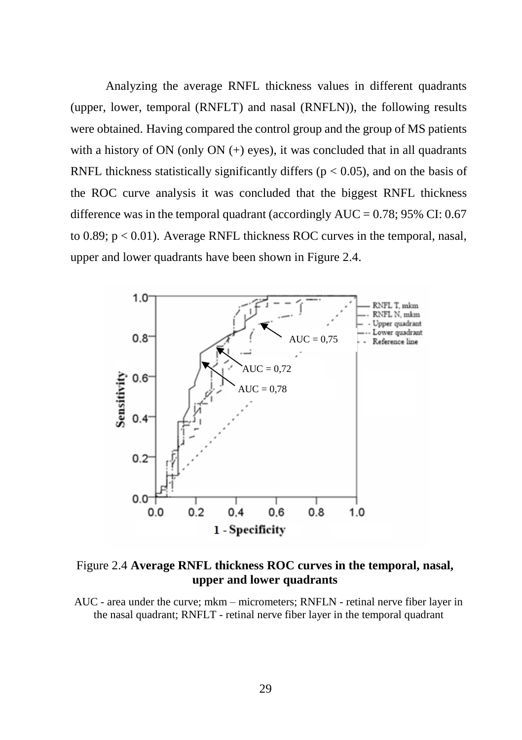Analyzing the average RNFL thickness values in different quadrants (upper, lower, temporal (RNFLT) and nasal (RNFLN)), the following results were obtained. Having compared the control group and the group of MS patients with a history of ON (only ON  $(+)$  eyes), it was concluded that in all quadrants RNFL thickness statistically significantly differs ( $p < 0.05$ ), and on the basis of the ROC curve analysis it was concluded that the biggest RNFL thickness difference was in the temporal quadrant (accordingly  $AUC = 0.78$ ; 95% CI: 0.67 to  $0.89$ ;  $p < 0.01$ ). Average RNFL thickness ROC curves in the temporal, nasal, upper and lower quadrants have been shown in Figure 2.4.

![](_page_29_Figure_1.jpeg)

Figure 2.4 **Average RNFL thickness ROC curves in the temporal, nasal, upper and lower quadrants**

AUC - area under the curve; mkm – micrometers; RNFLN - retinal nerve fiber layer in the nasal quadrant; RNFLT - retinal nerve fiber layer in the temporal quadrant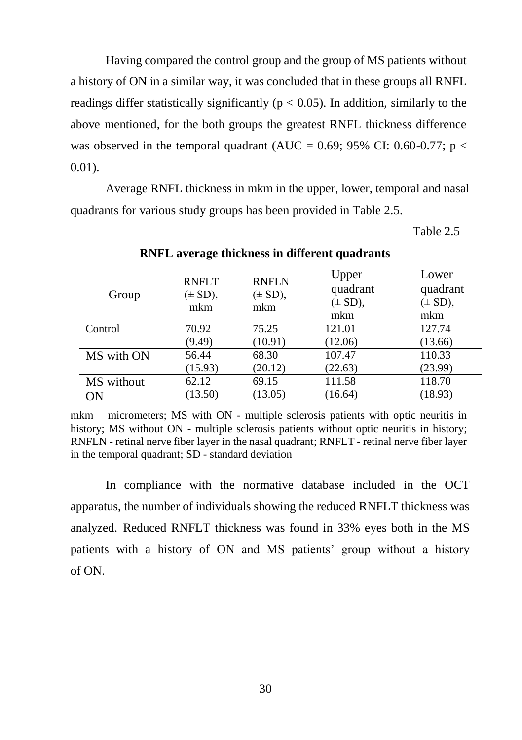Having compared the control group and the group of MS patients without a history of ON in a similar way, it was concluded that in these groups all RNFL readings differ statistically significantly ( $p < 0.05$ ). In addition, similarly to the above mentioned, for the both groups the greatest RNFL thickness difference was observed in the temporal quadrant (AUC = 0.69; 95% CI: 0.60-0.77; p <  $0.01$ ).

Average RNFL thickness in mkm in the upper, lower, temporal and nasal quadrants for various study groups has been provided in Table 2.5.

Table 2.5

| Group      | <b>RNFLT</b><br>$(\pm SD)$ ,<br>mkm | <b>RNFLN</b><br>$(\pm SD)$ ,<br>mkm | Upper<br>quadrant<br>$(\pm SD)$ ,<br>mkm | Lower<br>quadrant<br>$(\pm SD)$ ,<br>mkm |
|------------|-------------------------------------|-------------------------------------|------------------------------------------|------------------------------------------|
| Control    | 70.92                               | 75.25                               | 121.01                                   | 127.74                                   |
|            | (9.49)                              | (10.91)                             | (12.06)                                  | (13.66)                                  |
| MS with ON | 56.44                               | 68.30                               | 107.47                                   | 110.33                                   |
|            | (15.93)                             | (20.12)                             | (22.63)                                  | (23.99)                                  |
| MS without | 62.12                               | 69.15                               | 111.58                                   | 118.70                                   |
| ΟN         | (13.50)                             | (13.05)                             | (16.64)                                  | (18.93)                                  |

#### **RNFL average thickness in different quadrants**

mkm – micrometers; MS with ON - multiple sclerosis patients with optic neuritis in history; MS without ON - multiple sclerosis patients without optic neuritis in history; RNFLN - retinal nerve fiber layer in the nasal quadrant; RNFLT - retinal nerve fiber layer in the temporal quadrant; SD - standard deviation

In compliance with the normative database included in the OCT apparatus, the number of individuals showing the reduced RNFLT thickness was analyzed. Reduced RNFLT thickness was found in 33% eyes both in the MS patients with a history of ON and MS patients' group without a history of ON.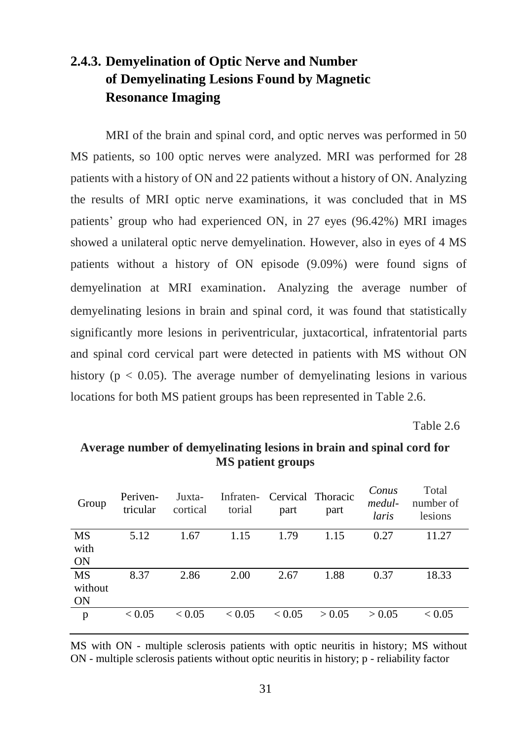# <span id="page-31-0"></span>**2.4.3. Demyelination of Optic Nerve and Number of Demyelinating Lesions Found by Magnetic Resonance Imaging**

MRI of the brain and spinal cord, and optic nerves was performed in 50 MS patients, so 100 optic nerves were analyzed. MRI was performed for 28 patients with a history of ON and 22 patients without a history of ON. Analyzing the results of MRI optic nerve examinations, it was concluded that in MS patients' group who had experienced ON, in 27 eyes (96.42%) MRI images showed a unilateral optic nerve demyelination. However, also in eyes of 4 MS patients without a history of ON episode (9.09%) were found signs of demyelination at MRI examination. Analyzing the average number of demyelinating lesions in brain and spinal cord, it was found that statistically significantly more lesions in periventricular, juxtacortical, infratentorial parts and spinal cord cervical part were detected in patients with MS without ON history ( $p < 0.05$ ). The average number of demyelinating lesions in various locations for both MS patient groups has been represented in Table 2.6.

Table 2.6

| Group     | Periven-<br>tricular | Juxta-<br>cortical | torial        | Infraten- Cervical Thoracic<br>part | part   | Conus<br>medul-<br>laris | Total<br>number of<br>lesions |
|-----------|----------------------|--------------------|---------------|-------------------------------------|--------|--------------------------|-------------------------------|
| <b>MS</b> | 5.12                 | 1.67               | 1.15          | 1.79                                | 1.15   | 0.27                     | 11.27                         |
| with      |                      |                    |               |                                     |        |                          |                               |
| <b>ON</b> |                      |                    |               |                                     |        |                          |                               |
| <b>MS</b> | 8.37                 | 2.86               | 2.00          | 2.67                                | 1.88   | 0.37                     | 18.33                         |
| without   |                      |                    |               |                                     |        |                          |                               |
| ON        |                      |                    |               |                                     |        |                          |                               |
| p         | ${}_{< 0.05}$        | ${}_{< 0.05}$      | ${}_{< 0.05}$ | ${}_{< 0.05}$                       | > 0.05 | > 0.05                   | ${}_{< 0.05}$                 |

## **Average number of demyelinating lesions in brain and spinal cord for MS patient groups**

MS with ON - multiple sclerosis patients with optic neuritis in history; MS without ON - multiple sclerosis patients without optic neuritis in history; p - reliability factor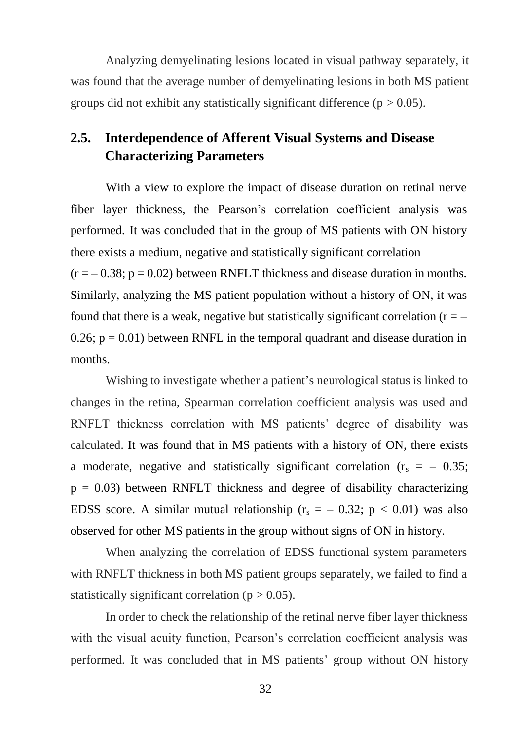Analyzing demyelinating lesions located in visual pathway separately, it was found that the average number of demyelinating lesions in both MS patient groups did not exhibit any statistically significant difference ( $p > 0.05$ ).

## <span id="page-32-0"></span>**2.5. Interdependence of Afferent Visual Systems and Disease Characterizing Parameters**

With a view to explore the impact of disease duration on retinal nerve fiber layer thickness, the Pearson's correlation coefficient analysis was performed. It was concluded that in the group of MS patients with ON history there exists a medium, negative and statistically significant correlation  $(r = -0.38; p = 0.02)$  between RNFLT thickness and disease duration in months. Similarly, analyzing the MS patient population without a history of ON, it was found that there is a weak, negative but statistically significant correlation  $(r = -$ 0.26;  $p = 0.01$ ) between RNFL in the temporal quadrant and disease duration in months.

Wishing to investigate whether a patient's neurological status is linked to changes in the retina, Spearman correlation coefficient analysis was used and RNFLT thickness correlation with MS patients' degree of disability was calculated. It was found that in MS patients with a history of ON, there exists a moderate, negative and statistically significant correlation  $(r_s = -0.35)$ ;  $p = 0.03$ ) between RNFLT thickness and degree of disability characterizing EDSS score. A similar mutual relationship ( $r_s = -0.32$ ; p < 0.01) was also observed for other MS patients in the group without signs of ON in history.

When analyzing the correlation of EDSS functional system parameters with RNFLT thickness in both MS patient groups separately, we failed to find a statistically significant correlation ( $p > 0.05$ ).

In order to check the relationship of the retinal nerve fiber layer thickness with the visual acuity function, Pearson's correlation coefficient analysis was performed. It was concluded that in MS patients' group without ON history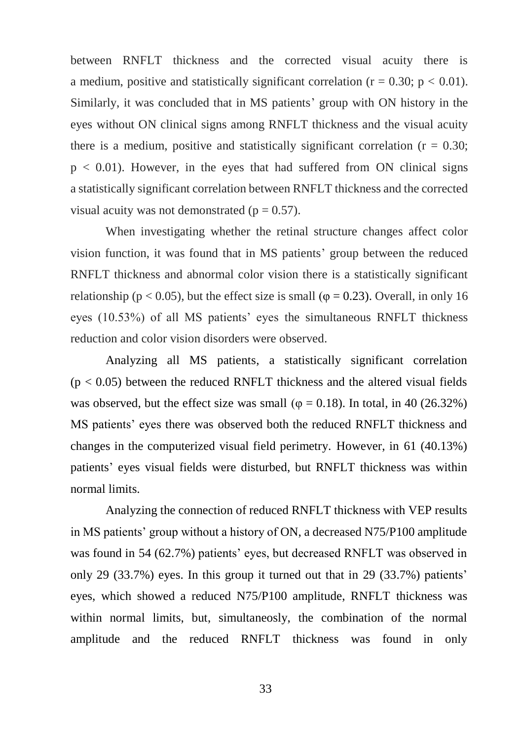between RNFLT thickness and the corrected visual acuity there is a medium, positive and statistically significant correlation ( $r = 0.30$ ;  $p < 0.01$ ). Similarly, it was concluded that in MS patients' group with ON history in the eyes without ON clinical signs among RNFLT thickness and the visual acuity there is a medium, positive and statistically significant correlation ( $r = 0.30$ ;  $p < 0.01$ ). However, in the eyes that had suffered from ON clinical signs a statistically significant correlation between RNFLT thickness and the corrected visual acuity was not demonstrated ( $p = 0.57$ ).

When investigating whether the retinal structure changes affect color vision function, it was found that in MS patients' group between the reduced RNFLT thickness and abnormal color vision there is a statistically significant relationship ( $p < 0.05$ ), but the effect size is small ( $\varphi = 0.23$ ). Overall, in only 16 eyes (10.53%) of all MS patients' eyes the simultaneous RNFLT thickness reduction and color vision disorders were observed.

Analyzing all MS patients, a statistically significant correlation  $(p < 0.05)$  between the reduced RNFLT thickness and the altered visual fields was observed, but the effect size was small ( $\varphi = 0.18$ ). In total, in 40 (26.32%) MS patients' eyes there was observed both the reduced RNFLT thickness and changes in the computerized visual field perimetry. However, in 61 (40.13%) patients' eyes visual fields were disturbed, but RNFLT thickness was within normal limits.

Analyzing the connection of reduced RNFLT thickness with VEP results in MS patients' group without a history of ON, a decreased N75/P100 amplitude was found in 54 (62.7%) patients' eyes, but decreased RNFLT was observed in only 29 (33.7%) eyes. In this group it turned out that in 29 (33.7%) patients' eyes, which showed a reduced N75/P100 amplitude, RNFLT thickness was within normal limits, but, simultaneosly, the combination of the normal amplitude and the reduced RNFLT thickness was found in only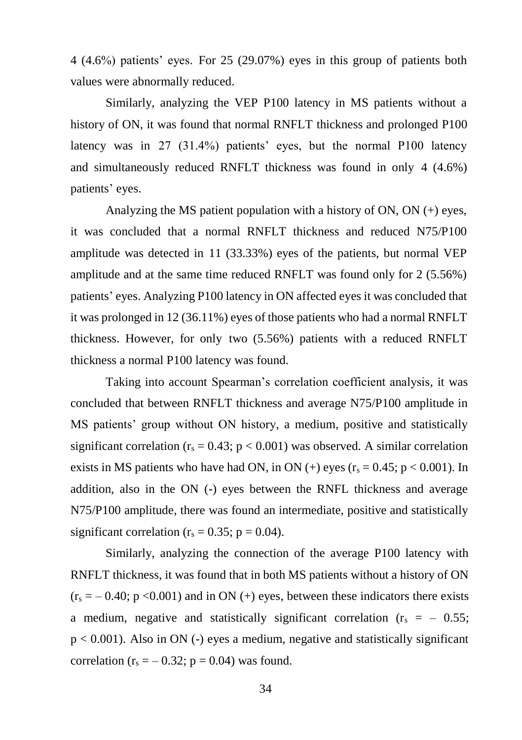4 (4.6%) patients' eyes. For 25 (29.07%) eyes in this group of patients both values were abnormally reduced.

Similarly, analyzing the VEP P100 latency in MS patients without a history of ON, it was found that normal RNFLT thickness and prolonged P100 latency was in 27 (31.4%) patients' eyes, but the normal P100 latency and simultaneously reduced RNFLT thickness was found in only 4 (4.6%) patients' eyes.

Analyzing the MS patient population with a history of ON, ON (+) eyes, it was concluded that a normal RNFLT thickness and reduced N75/P100 amplitude was detected in 11 (33.33%) eyes of the patients, but normal VEP amplitude and at the same time reduced RNFLT was found only for 2 (5.56%) patients' eyes. Analyzing P100 latency in ON affected eyes it was concluded that it was prolonged in 12 (36.11%) eyes of those patients who had a normal RNFLT thickness. However, for only two (5.56%) patients with a reduced RNFLT thickness a normal P100 latency was found.

Taking into account Spearman's correlation coefficient analysis, it was concluded that between RNFLT thickness and average N75/P100 amplitude in MS patients' group without ON history, a medium, positive and statistically significant correlation ( $r_s = 0.43$ ;  $p < 0.001$ ) was observed. A similar correlation exists in MS patients who have had ON, in ON (+) eyes ( $r_s = 0.45$ ; p < 0.001). In addition, also in the ON (-) eyes between the RNFL thickness and average N75/P100 amplitude, there was found an intermediate, positive and statistically significant correlation ( $r_s = 0.35$ ; p = 0.04).

Similarly, analyzing the connection of the average P100 latency with RNFLT thickness, it was found that in both MS patients without a history of ON  $(r_s = -0.40; p < 0.001)$  and in ON (+) eyes, between these indicators there exists a medium, negative and statistically significant correlation  $(r_s = -0.55)$ ;  $p < 0.001$ ). Also in ON (-) eyes a medium, negative and statistically significant correlation ( $r_s = -0.32$ ;  $p = 0.04$ ) was found.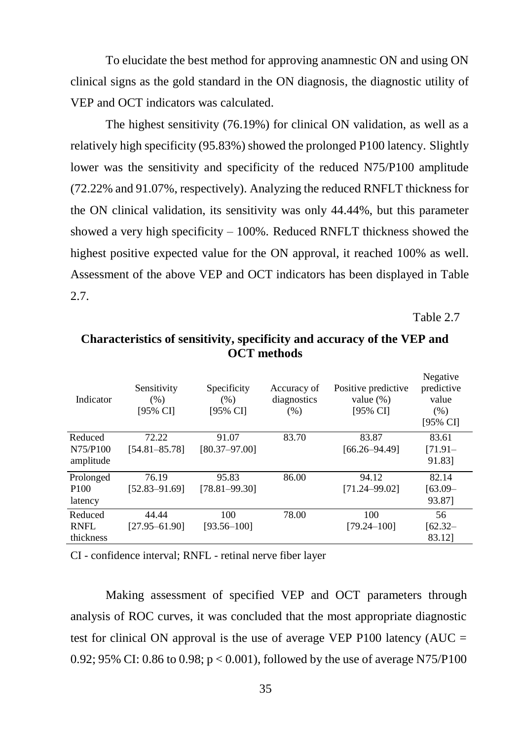To elucidate the best method for approving anamnestic ON and using ON clinical signs as the gold standard in the ON diagnosis, the diagnostic utility of VEP and OCT indicators was calculated.

The highest sensitivity (76.19%) for clinical ON validation, as well as a relatively high specificity (95.83%) showed the prolonged P100 latency. Slightly lower was the sensitivity and specificity of the reduced N75/P100 amplitude (72.22% and 91.07%, respectively). Analyzing the reduced RNFLT thickness for the ON clinical validation, its sensitivity was only 44.44%, but this parameter showed a very high specificity – 100%. Reduced RNFLT thickness showed the highest positive expected value for the ON approval, it reached 100% as well. Assessment of the above VEP and OCT indicators has been displayed in Table 2.7.

Table 2.7

| Indicator        | Sensitivity<br>(% )<br>[95% CI] | Specificity<br>$(\% )$<br>[95% CI] | Accuracy of<br>diagnostics<br>(% ) | Positive predictive<br>value $(\%)$<br>[95% CI] | Negative<br>predictive<br>value<br>(% )<br>[95% CI] |
|------------------|---------------------------------|------------------------------------|------------------------------------|-------------------------------------------------|-----------------------------------------------------|
| Reduced          | 72.22                           | 91.07                              | 83.70                              | 83.87                                           | 83.61                                               |
| N75/P100         | [54.81–85.78]                   | [80.37-97.00]                      |                                    | $[66.26 - 94.49]$                               | $[71.91 -$                                          |
| amplitude        |                                 |                                    |                                    |                                                 | 91.831                                              |
| Prolonged        | 76.19                           | 95.83                              | 86.00                              | 94.12                                           | 82.14                                               |
| P <sub>100</sub> | [52.83–91.69]                   | $[78.81 - 99.30]$                  |                                    | $[71.24 - 99.02]$                               | $[63.09 -$                                          |
| latency          |                                 |                                    |                                    |                                                 | 93.871                                              |
| Reduced          | 44.44                           | 100                                | 78.00                              | 100                                             | 56                                                  |
| RNFL             | [27.95-61.90]                   | [93.56-100]                        |                                    | [79.24-100]                                     | $[62.32 -$                                          |
| thickness        |                                 |                                    |                                    |                                                 | 83.121                                              |

**Characteristics of sensitivity, specificity and accuracy of the VEP and OCT methods**

CI - confidence interval; RNFL - retinal nerve fiber layer

Making assessment of specified VEP and OCT parameters through analysis of ROC curves, it was concluded that the most appropriate diagnostic test for clinical ON approval is the use of average VEP P100 latency  $(AUC =$ 0.92; 95% CI: 0.86 to 0.98;  $p < 0.001$ ), followed by the use of average N75/P100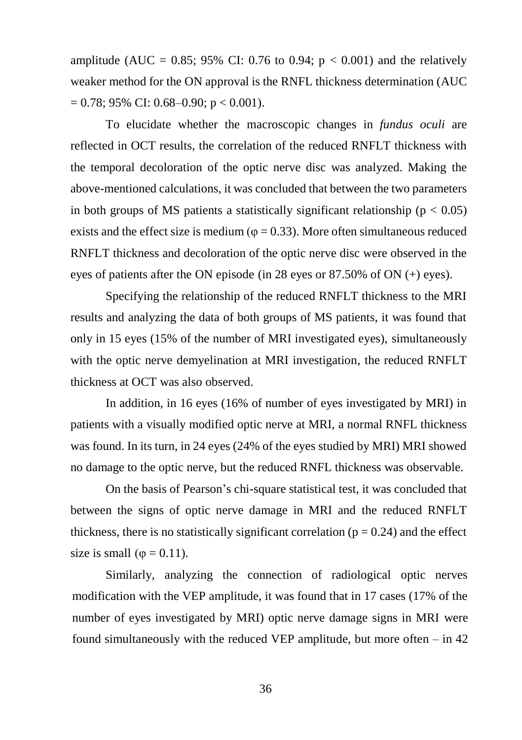amplitude (AUC = 0.85; 95% CI: 0.76 to 0.94;  $p < 0.001$ ) and the relatively weaker method for the ON approval is the RNFL thickness determination (AUC  $= 0.78$ ; 95% CI: 0.68–0.90; p < 0.001).

To elucidate whether the macroscopic changes in *fundus oculi* are reflected in OCT results, the correlation of the reduced RNFLT thickness with the temporal decoloration of the optic nerve disc was analyzed. Making the above-mentioned calculations, it was concluded that between the two parameters in both groups of MS patients a statistically significant relationship ( $p < 0.05$ ) exists and the effect size is medium ( $\varphi$  = 0.33). More often simultaneous reduced RNFLT thickness and decoloration of the optic nerve disc were observed in the eyes of patients after the ON episode (in 28 eyes or 87.50% of ON (+) eyes).

Specifying the relationship of the reduced RNFLT thickness to the MRI results and analyzing the data of both groups of MS patients, it was found that only in 15 eyes (15% of the number of MRI investigated eyes), simultaneously with the optic nerve demyelination at MRI investigation, the reduced RNFLT thickness at OCT was also observed.

In addition, in 16 eyes (16% of number of eyes investigated by MRI) in patients with a visually modified optic nerve at MRI, a normal RNFL thickness was found. In its turn, in 24 eyes (24% of the eyes studied by MRI) MRI showed no damage to the optic nerve, but the reduced RNFL thickness was observable.

On the basis of Pearson's chi-square statistical test, it was concluded that between the signs of optic nerve damage in MRI and the reduced RNFLT thickness, there is no statistically significant correlation ( $p = 0.24$ ) and the effect size is small ( $\varphi = 0.11$ ).

Similarly, analyzing the connection of radiological optic nerves modification with the VEP amplitude, it was found that in 17 cases (17% of the number of eyes investigated by MRI) optic nerve damage signs in MRI were found simultaneously with the reduced VEP amplitude, but more often – in 42

36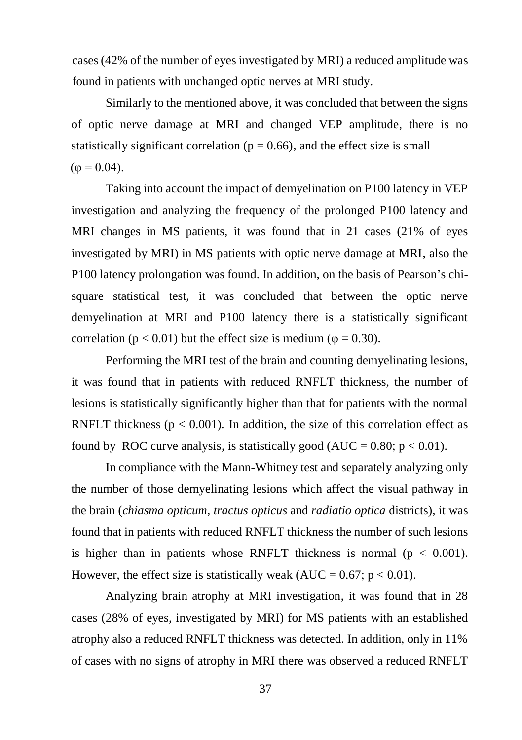cases (42% of the number of eyes investigated by MRI) a reduced amplitude was found in patients with unchanged optic nerves at MRI study.

Similarly to the mentioned above, it was concluded that between the signs of optic nerve damage at MRI and changed VEP amplitude, there is no statistically significant correlation ( $p = 0.66$ ), and the effect size is small  $(\varphi = 0.04)$ .

Taking into account the impact of demyelination on P100 latency in VEP investigation and analyzing the frequency of the prolonged P100 latency and MRI changes in MS patients, it was found that in 21 cases (21% of eyes investigated by MRI) in MS patients with optic nerve damage at MRI, also the P100 latency prolongation was found. In addition, on the basis of Pearson's chisquare statistical test, it was concluded that between the optic nerve demyelination at MRI and P100 latency there is a statistically significant correlation ( $p < 0.01$ ) but the effect size is medium ( $\varphi = 0.30$ ).

Performing the MRI test of the brain and counting demyelinating lesions, it was found that in patients with reduced RNFLT thickness, the number of lesions is statistically significantly higher than that for patients with the normal RNFLT thickness ( $p < 0.001$ ). In addition, the size of this correlation effect as found by ROC curve analysis, is statistically good (AUC =  $0.80$ ; p <  $0.01$ ).

In compliance with the Mann-Whitney test and separately analyzing only the number of those demyelinating lesions which affect the visual pathway in the brain (*chiasma opticum*, *tractus opticus* and *radiatio optica* districts), it was found that in patients with reduced RNFLT thickness the number of such lesions is higher than in patients whose RNFLT thickness is normal ( $p < 0.001$ ). However, the effect size is statistically weak (AUC =  $0.67$ ; p <  $0.01$ ).

Analyzing brain atrophy at MRI investigation, it was found that in 28 cases (28% of eyes, investigated by MRI) for MS patients with an established atrophy also a reduced RNFLT thickness was detected. In addition, only in 11% of cases with no signs of atrophy in MRI there was observed a reduced RNFLT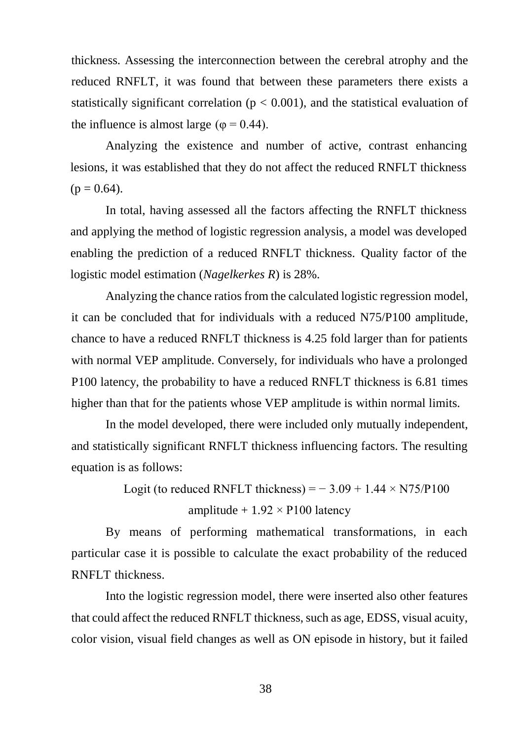thickness. Assessing the interconnection between the cerebral atrophy and the reduced RNFLT, it was found that between these parameters there exists a statistically significant correlation ( $p < 0.001$ ), and the statistical evaluation of the influence is almost large ( $\varphi$  = 0.44).

Analyzing the existence and number of active, contrast enhancing lesions, it was established that they do not affect the reduced RNFLT thickness  $(p = 0.64)$ .

In total, having assessed all the factors affecting the RNFLT thickness and applying the method of logistic regression analysis, a model was developed enabling the prediction of a reduced RNFLT thickness. Quality factor of the logistic model estimation (*Nagelkerkes R*) is 28%.

Analyzing the chance ratios from the calculated logistic regression model, it can be concluded that for individuals with a reduced N75/P100 amplitude, chance to have a reduced RNFLT thickness is 4.25 fold larger than for patients with normal VEP amplitude. Conversely, for individuals who have a prolonged P100 latency, the probability to have a reduced RNFLT thickness is 6.81 times higher than that for the patients whose VEP amplitude is within normal limits.

In the model developed, there were included only mutually independent, and statistically significant RNFLT thickness influencing factors. The resulting equation is as follows:

> Logit (to reduced RNFLT thickness) =  $-3.09 + 1.44 \times N75/P100$ amplitude  $+1.92 \times$  P100 latency

By means of performing mathematical transformations, in each particular case it is possible to calculate the exact probability of the reduced RNFLT thickness.

Into the logistic regression model, there were inserted also other features that could affect the reduced RNFLT thickness, such as age, EDSS, visual acuity, color vision, visual field changes as well as ON episode in history, but it failed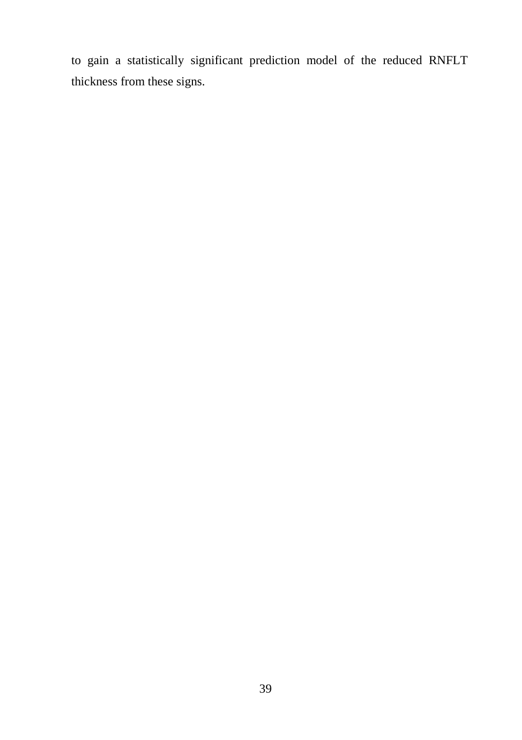to gain a statistically significant prediction model of the reduced RNFLT thickness from these signs.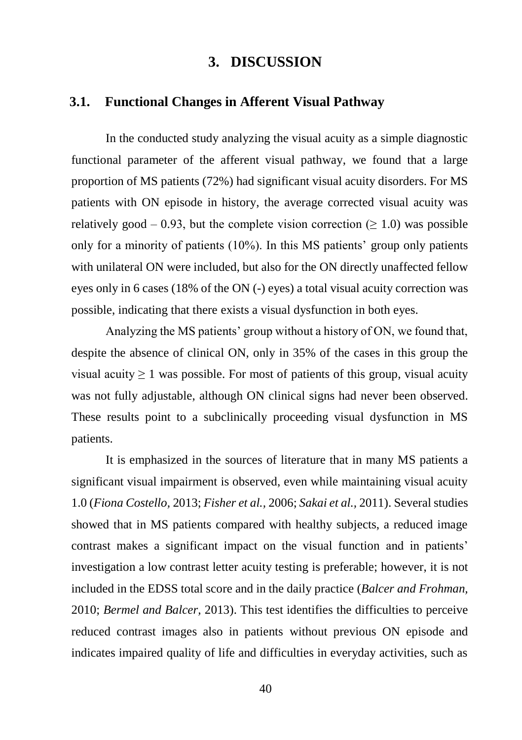## **3. DISCUSSION**

#### <span id="page-40-1"></span><span id="page-40-0"></span>**3.1. Functional Changes in Afferent Visual Pathway**

In the conducted study analyzing the visual acuity as a simple diagnostic functional parameter of the afferent visual pathway, we found that a large proportion of MS patients (72%) had significant visual acuity disorders. For MS patients with ON episode in history, the average corrected visual acuity was relatively good – 0.93, but the complete vision correction ( $\geq$  1.0) was possible only for a minority of patients (10%). In this MS patients' group only patients with unilateral ON were included, but also for the ON directly unaffected fellow eyes only in 6 cases (18% of the ON (-) eyes) a total visual acuity correction was possible, indicating that there exists a visual dysfunction in both eyes.

Analyzing the MS patients' group without a history of ON, we found that, despite the absence of clinical ON, only in 35% of the cases in this group the visual acuity  $\geq 1$  was possible. For most of patients of this group, visual acuity was not fully adjustable, although ON clinical signs had never been observed. These results point to a subclinically proceeding visual dysfunction in MS patients.

It is emphasized in the sources of literature that in many MS patients a significant visual impairment is observed, even while maintaining visual acuity 1.0 (*Fiona Costello,* 2013; *Fisher et al.,* 2006; *Sakai et al.,* 2011). Several studies showed that in MS patients compared with healthy subjects, a reduced image contrast makes a significant impact on the visual function and in patients' investigation a low contrast letter acuity testing is preferable; however, it is not included in the EDSS total score and in the daily practice (*Balcer and Frohman,* 2010; *Bermel and Balcer,* 2013). This test identifies the difficulties to perceive reduced contrast images also in patients without previous ON episode and indicates impaired quality of life and difficulties in everyday activities, such as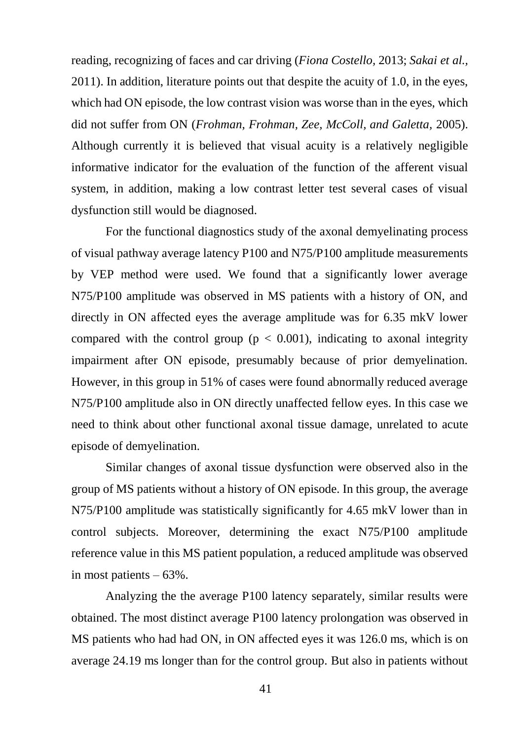reading, recognizing of faces and car driving (*Fiona Costello,* 2013; *Sakai et al.,* 2011). In addition, literature points out that despite the acuity of 1.0, in the eyes, which had ON episode, the low contrast vision was worse than in the eyes, which did not suffer from ON (*Frohman, Frohman, Zee, McColl, and Galetta,* 2005). Although currently it is believed that visual acuity is a relatively negligible informative indicator for the evaluation of the function of the afferent visual system, in addition, making a low contrast letter test several cases of visual dysfunction still would be diagnosed.

For the functional diagnostics study of the axonal demyelinating process of visual pathway average latency P100 and N75/P100 amplitude measurements by VEP method were used. We found that a significantly lower average N75/P100 amplitude was observed in MS patients with a history of ON, and directly in ON affected eyes the average amplitude was for 6.35 mkV lower compared with the control group ( $p < 0.001$ ), indicating to axonal integrity impairment after ON episode, presumably because of prior demyelination. However, in this group in 51% of cases were found abnormally reduced average N75/P100 amplitude also in ON directly unaffected fellow eyes. In this case we need to think about other functional axonal tissue damage, unrelated to acute episode of demyelination.

Similar changes of axonal tissue dysfunction were observed also in the group of MS patients without a history of ON episode. In this group, the average N75/P100 amplitude was statistically significantly for 4.65 mkV lower than in control subjects. Moreover, determining the exact N75/P100 amplitude reference value in this MS patient population, a reduced amplitude was observed in most patients – 63%.

Analyzing the the average P100 latency separately, similar results were obtained. The most distinct average P100 latency prolongation was observed in MS patients who had had ON, in ON affected eyes it was 126.0 ms, which is on average 24.19 ms longer than for the control group. But also in patients without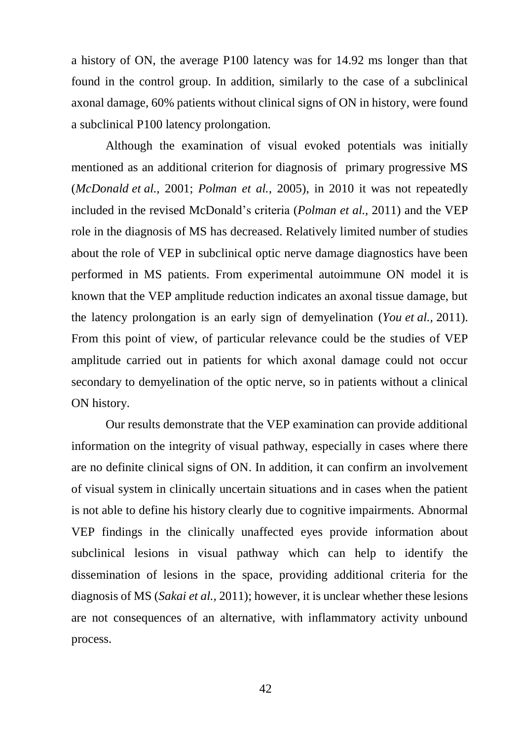a history of ON, the average P100 latency was for 14.92 ms longer than that found in the control group. In addition, similarly to the case of a subclinical axonal damage, 60% patients without clinical signs of ON in history, were found a subclinical P100 latency prolongation.

Although the examination of visual evoked potentials was initially mentioned as an additional criterion for diagnosis of primary progressive MS (*McDonald et al.,* 2001; *Polman et al.,* 2005), in 2010 it was not repeatedly included in the revised McDonald's criteria (*Polman et al.,* 2011) and the VEP role in the diagnosis of MS has decreased. Relatively limited number of studies about the role of VEP in subclinical optic nerve damage diagnostics have been performed in MS patients. From experimental autoimmune ON model it is known that the VEP amplitude reduction indicates an axonal tissue damage, but the latency prolongation is an early sign of demyelination (*You et al.,* 2011). From this point of view, of particular relevance could be the studies of VEP amplitude carried out in patients for which axonal damage could not occur secondary to demyelination of the optic nerve, so in patients without a clinical ON history.

Our results demonstrate that the VEP examination can provide additional information on the integrity of visual pathway, especially in cases where there are no definite clinical signs of ON. In addition, it can confirm an involvement of visual system in clinically uncertain situations and in cases when the patient is not able to define his history clearly due to cognitive impairments. Abnormal VEP findings in the clinically unaffected eyes provide information about subclinical lesions in visual pathway which can help to identify the dissemination of lesions in the space, providing additional criteria for the diagnosis of MS (*Sakai et al.,* 2011); however, it is unclear whether these lesions are not consequences of an alternative, with inflammatory activity unbound process.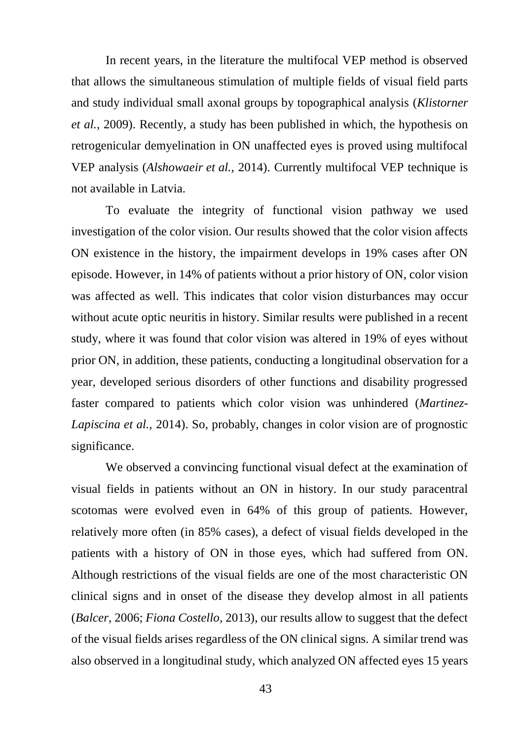In recent years, in the literature the multifocal VEP method is observed that allows the simultaneous stimulation of multiple fields of visual field parts and study individual small axonal groups by topographical analysis (*Klistorner et al.,* 2009). Recently, a study has been published in which, the hypothesis on retrogenicular demyelination in ON unaffected eyes is proved using multifocal VEP analysis (*Alshowaeir et al.,* 2014). Currently multifocal VEP technique is not available in Latvia.

To evaluate the integrity of functional vision pathway we used investigation of the color vision. Our results showed that the color vision affects ON existence in the history, the impairment develops in 19% cases after ON episode. However, in 14% of patients without a prior history of ON, color vision was affected as well. This indicates that color vision disturbances may occur without acute optic neuritis in history. Similar results were published in a recent study, where it was found that color vision was altered in 19% of eyes without prior ON, in addition, these patients, conducting a longitudinal observation for a year, developed serious disorders of other functions and disability progressed faster compared to patients which color vision was unhindered (*Martinez-Lapiscina et al.,* 2014). So, probably, changes in color vision are of prognostic significance.

We observed a convincing functional visual defect at the examination of visual fields in patients without an ON in history. In our study paracentral scotomas were evolved even in 64% of this group of patients. However, relatively more often (in 85% cases), a defect of visual fields developed in the patients with a history of ON in those eyes, which had suffered from ON. Although restrictions of the visual fields are one of the most characteristic ON clinical signs and in onset of the disease they develop almost in all patients (*Balcer,* 2006; *Fiona Costello,* 2013), our results allow to suggest that the defect of the visual fields arises regardless of the ON clinical signs. A similar trend was also observed in a longitudinal study, which analyzed ON affected eyes 15 years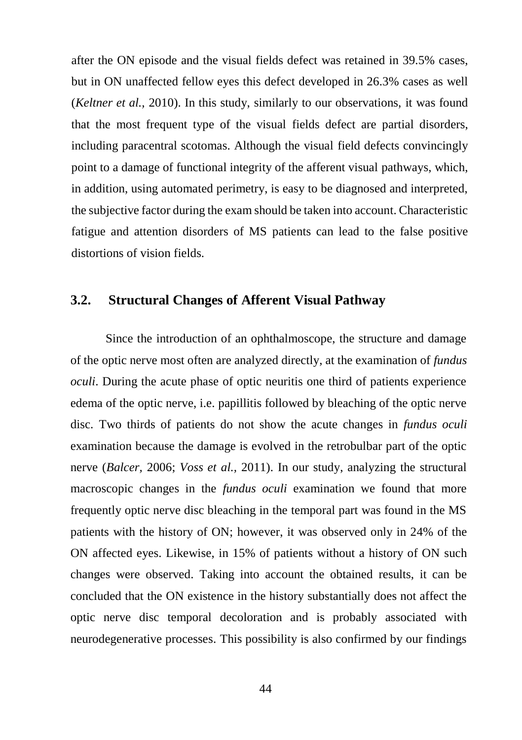after the ON episode and the visual fields defect was retained in 39.5% cases, but in ON unaffected fellow eyes this defect developed in 26.3% cases as well (*Keltner et al.,* 2010). In this study, similarly to our observations, it was found that the most frequent type of the visual fields defect are partial disorders, including paracentral scotomas. Although the visual field defects convincingly point to a damage of functional integrity of the afferent visual pathways, which, in addition, using automated perimetry, is easy to be diagnosed and interpreted, the subjective factor during the exam should be taken into account. Characteristic fatigue and attention disorders of MS patients can lead to the false positive distortions of vision fields.

## <span id="page-44-0"></span>**3.2. Structural Changes of Afferent Visual Pathway**

Since the introduction of an ophthalmoscope, the structure and damage of the optic nerve most often are analyzed directly, at the examination of *fundus oculi*. During the acute phase of optic neuritis one third of patients experience edema of the optic nerve, i.e. papillitis followed by bleaching of the optic nerve disc. Two thirds of patients do not show the acute changes in *fundus oculi* examination because the damage is evolved in the retrobulbar part of the optic nerve (*Balcer,* 2006; *Voss et al.,* 2011). In our study, analyzing the structural macroscopic changes in the *fundus oculi* examination we found that more frequently optic nerve disc bleaching in the temporal part was found in the MS patients with the history of ON; however, it was observed only in 24% of the ON affected eyes. Likewise, in 15% of patients without a history of ON such changes were observed. Taking into account the obtained results, it can be concluded that the ON existence in the history substantially does not affect the optic nerve disc temporal decoloration and is probably associated with neurodegenerative processes. This possibility is also confirmed by our findings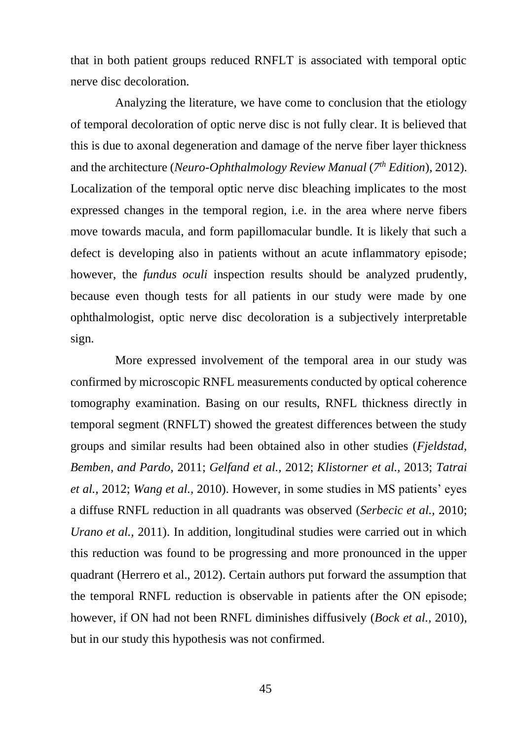that in both patient groups reduced RNFLT is associated with temporal optic nerve disc decoloration.

Analyzing the literature, we have come to conclusion that the etiology of temporal decoloration of optic nerve disc is not fully clear. It is believed that this is due to axonal degeneration and damage of the nerve fiber layer thickness and the architecture (*Neuro-Ophthalmology Review Manual* (*7 th Edition*), 2012). Localization of the temporal optic nerve disc bleaching implicates to the most expressed changes in the temporal region, i.e. in the area where nerve fibers move towards macula, and form papillomacular bundle. It is likely that such a defect is developing also in patients without an acute inflammatory episode; however, the *fundus oculi* inspection results should be analyzed prudently, because even though tests for all patients in our study were made by one ophthalmologist, optic nerve disc decoloration is a subjectively interpretable sign.

More expressed involvement of the temporal area in our study was confirmed by microscopic RNFL measurements conducted by optical coherence tomography examination. Basing on our results, RNFL thickness directly in temporal segment (RNFLT) showed the greatest differences between the study groups and similar results had been obtained also in other studies (*Fjeldstad, Bemben, and Pardo,* 2011; *Gelfand et al.,* 2012; *Klistorner et al.,* 2013; *Tatrai et al.,* 2012; *Wang et al.,* 2010). However, in some studies in MS patients' eyes a diffuse RNFL reduction in all quadrants was observed (*Serbecic et al.,* 2010; *Urano et al.,* 2011). In addition, longitudinal studies were carried out in which this reduction was found to be progressing and more pronounced in the upper quadrant (Herrero et al., 2012). Certain authors put forward the assumption that the temporal RNFL reduction is observable in patients after the ON episode; however, if ON had not been RNFL diminishes diffusively (*Bock et al.,* 2010), but in our study this hypothesis was not confirmed.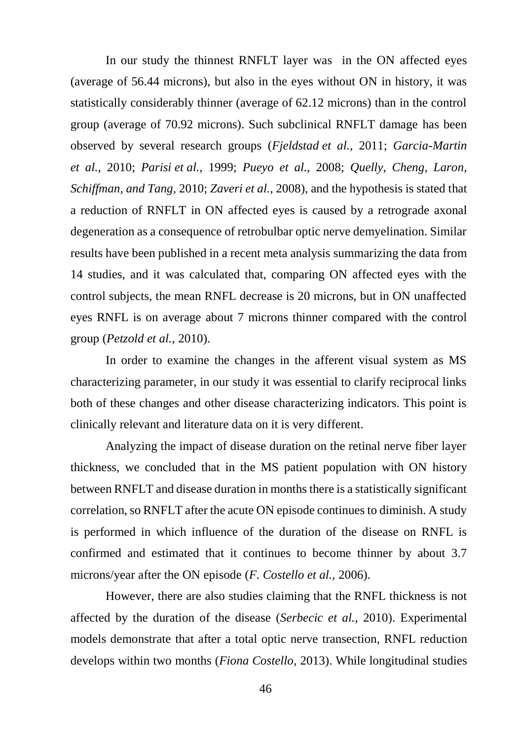In our study the thinnest RNFLT layer was in the ON affected eyes (average of 56.44 microns), but also in the eyes without ON in history, it was statistically considerably thinner (average of 62.12 microns) than in the control group (average of 70.92 microns). Such subclinical RNFLT damage has been observed by several research groups (*Fjeldstad et al.,* 2011; *Garcia-Martin et al.,* 2010; *Parisi et al.,* 1999; *Pueyo et al.,* 2008; *Quelly, Cheng, Laron, Schiffman, and Tang,* 2010; *Zaveri et al.,* 2008), and the hypothesis is stated that a reduction of RNFLT in ON affected eyes is caused by a retrograde axonal degeneration as a consequence of retrobulbar optic nerve demyelination. Similar results have been published in a recent meta analysis summarizing the data from 14 studies, and it was calculated that, comparing ON affected eyes with the control subjects, the mean RNFL decrease is 20 microns, but in ON unaffected eyes RNFL is on average about 7 microns thinner compared with the control group (*Petzold et al.,* 2010).

In order to examine the changes in the afferent visual system as MS characterizing parameter, in our study it was essential to clarify reciprocal links both of these changes and other disease characterizing indicators. This point is clinically relevant and literature data on it is very different.

Analyzing the impact of disease duration on the retinal nerve fiber layer thickness, we concluded that in the MS patient population with ON history between RNFLT and disease duration in months there is a statistically significant correlation, so RNFLT after the acute ON episode continues to diminish. A study is performed in which influence of the duration of the disease on RNFL is confirmed and estimated that it continues to become thinner by about 3.7 microns/year after the ON episode (*F. Costello et al.,* 2006).

However, there are also studies claiming that the RNFL thickness is not affected by the duration of the disease (*Serbecic et al.,* 2010). Experimental models demonstrate that after a total optic nerve transection, RNFL reduction develops within two months (*Fiona Costello,* 2013). While longitudinal studies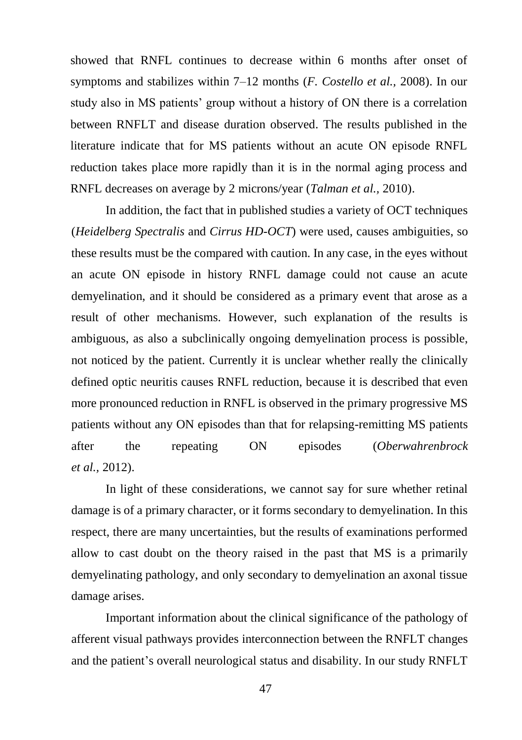showed that RNFL continues to decrease within 6 months after onset of symptoms and stabilizes within 7–12 months (*F. Costello et al.,* 2008). In our study also in MS patients' group without a history of ON there is a correlation between RNFLT and disease duration observed. The results published in the literature indicate that for MS patients without an acute ON episode RNFL reduction takes place more rapidly than it is in the normal aging process and RNFL decreases on average by 2 microns/year (*Talman et al.,* 2010).

In addition, the fact that in published studies a variety of OCT techniques (*Heidelberg Spectralis* and *Cirrus HD-OCT*) were used, causes ambiguities, so these results must be the compared with caution. In any case, in the eyes without an acute ON episode in history RNFL damage could not cause an acute demyelination, and it should be considered as a primary event that arose as a result of other mechanisms. However, such explanation of the results is ambiguous, as also a subclinically ongoing demyelination process is possible, not noticed by the patient. Currently it is unclear whether really the clinically defined optic neuritis causes RNFL reduction, because it is described that even more pronounced reduction in RNFL is observed in the primary progressive MS patients without any ON episodes than that for relapsing-remitting MS patients after the repeating ON episodes (*Oberwahrenbrock et al.,* 2012).

In light of these considerations, we cannot say for sure whether retinal damage is of a primary character, or it forms secondary to demyelination. In this respect, there are many uncertainties, but the results of examinations performed allow to cast doubt on the theory raised in the past that MS is a primarily demyelinating pathology, and only secondary to demyelination an axonal tissue damage arises.

Important information about the clinical significance of the pathology of afferent visual pathways provides interconnection between the RNFLT changes and the patient's overall neurological status and disability. In our study RNFLT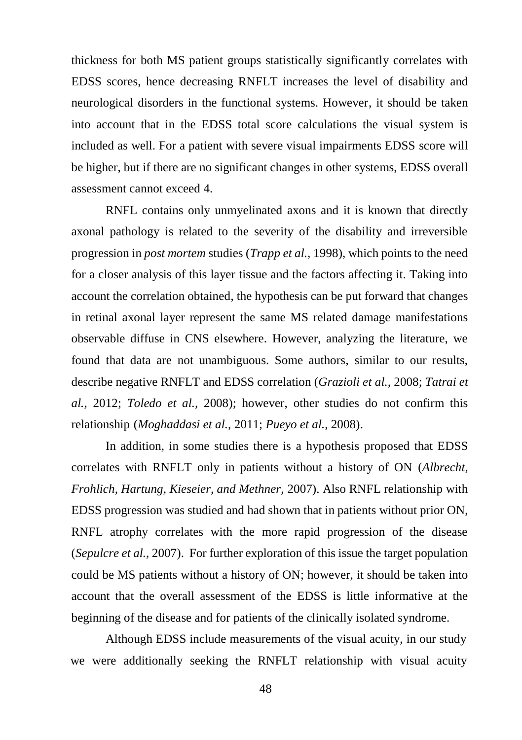thickness for both MS patient groups statistically significantly correlates with EDSS scores, hence decreasing RNFLT increases the level of disability and neurological disorders in the functional systems. However, it should be taken into account that in the EDSS total score calculations the visual system is included as well. For a patient with severe visual impairments EDSS score will be higher, but if there are no significant changes in other systems, EDSS overall assessment cannot exceed 4.

RNFL contains only unmyelinated axons and it is known that directly axonal pathology is related to the severity of the disability and irreversible progression in *post mortem* studies (*Trapp et al.,* 1998), which points to the need for a closer analysis of this layer tissue and the factors affecting it. Taking into account the correlation obtained, the hypothesis can be put forward that changes in retinal axonal layer represent the same MS related damage manifestations observable diffuse in CNS elsewhere. However, analyzing the literature, we found that data are not unambiguous. Some authors, similar to our results, describe negative RNFLT and EDSS correlation (*Grazioli et al.,* 2008; *Tatrai et al.,* 2012; *Toledo et al.,* 2008); however, other studies do not confirm this relationship (*Moghaddasi et al.,* 2011; *Pueyo et al.,* 2008).

In addition, in some studies there is a hypothesis proposed that EDSS correlates with RNFLT only in patients without a history of ON (*Albrecht, Frohlich, Hartung, Kieseier, and Methner,* 2007). Also RNFL relationship with EDSS progression was studied and had shown that in patients without prior ON, RNFL atrophy correlates with the more rapid progression of the disease (*Sepulcre et al.,* 2007). For further exploration of this issue the target population could be MS patients without a history of ON; however, it should be taken into account that the overall assessment of the EDSS is little informative at the beginning of the disease and for patients of the clinically isolated syndrome.

Although EDSS include measurements of the visual acuity, in our study we were additionally seeking the RNFLT relationship with visual acuity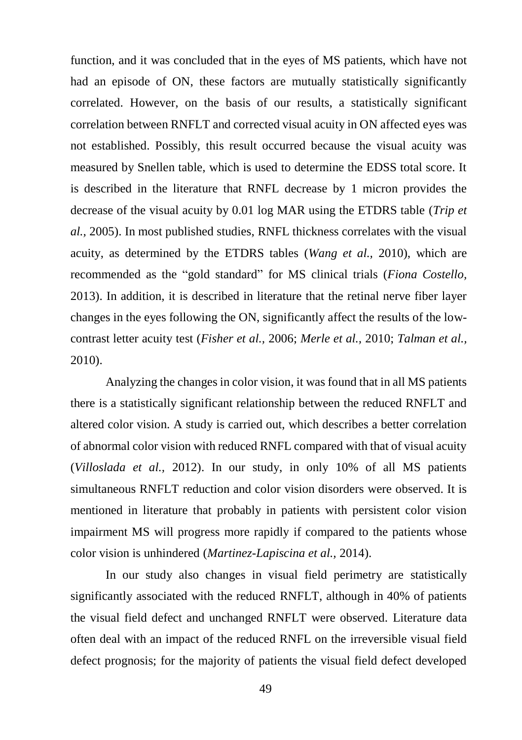function, and it was concluded that in the eyes of MS patients, which have not had an episode of ON, these factors are mutually statistically significantly correlated. However, on the basis of our results, a statistically significant correlation between RNFLT and corrected visual acuity in ON affected eyes was not established. Possibly, this result occurred because the visual acuity was measured by Snellen table, which is used to determine the EDSS total score. It is described in the literature that RNFL decrease by 1 micron provides the decrease of the visual acuity by 0.01 log MAR using the ETDRS table (*Trip et al.,* 2005). In most published studies, RNFL thickness correlates with the visual acuity, as determined by the ETDRS tables (*Wang et al.,* 2010), which are recommended as the "gold standard" for MS clinical trials (*Fiona Costello,* 2013). In addition, it is described in literature that the retinal nerve fiber layer changes in the eyes following the ON, significantly affect the results of the lowcontrast letter acuity test (*Fisher et al.,* 2006; *Merle et al.,* 2010; *Talman et al.,* 2010).

Analyzing the changes in color vision, it was found that in all MS patients there is a statistically significant relationship between the reduced RNFLT and altered color vision. A study is carried out, which describes a better correlation of abnormal color vision with reduced RNFL compared with that of visual acuity (*Villoslada et al.,* 2012). In our study, in only 10% of all MS patients simultaneous RNFLT reduction and color vision disorders were observed. It is mentioned in literature that probably in patients with persistent color vision impairment MS will progress more rapidly if compared to the patients whose color vision is unhindered (*Martinez-Lapiscina et al.,* 2014).

In our study also changes in visual field perimetry are statistically significantly associated with the reduced RNFLT, although in 40% of patients the visual field defect and unchanged RNFLT were observed. Literature data often deal with an impact of the reduced RNFL on the irreversible visual field defect prognosis; for the majority of patients the visual field defect developed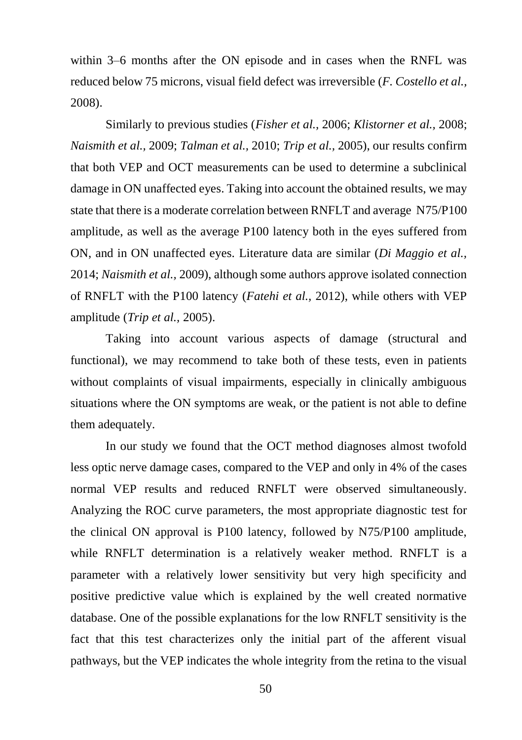within 3–6 months after the ON episode and in cases when the RNFL was reduced below 75 microns, visual field defect was irreversible (*F. Costello et al.,* 2008).

Similarly to previous studies (*Fisher et al.,* 2006; *Klistorner et al.,* 2008; *Naismith et al.,* 2009; *Talman et al.,* 2010; *Trip et al.,* 2005), our results confirm that both VEP and OCT measurements can be used to determine a subclinical damage in ON unaffected eyes. Taking into account the obtained results, we may state that there is a moderate correlation between RNFLT and average N75/P100 amplitude, as well as the average P100 latency both in the eyes suffered from ON, and in ON unaffected eyes. Literature data are similar (*Di Maggio et al.,* 2014; *Naismith et al.,* 2009), although some authors approve isolated connection of RNFLT with the P100 latency (*Fatehi et al.,* 2012), while others with VEP amplitude (*Trip et al.,* 2005).

Taking into account various aspects of damage (structural and functional), we may recommend to take both of these tests, even in patients without complaints of visual impairments, especially in clinically ambiguous situations where the ON symptoms are weak, or the patient is not able to define them adequately.

In our study we found that the OCT method diagnoses almost twofold less optic nerve damage cases, compared to the VEP and only in 4% of the cases normal VEP results and reduced RNFLT were observed simultaneously. Analyzing the ROC curve parameters, the most appropriate diagnostic test for the clinical ON approval is P100 latency, followed by N75/P100 amplitude, while RNFLT determination is a relatively weaker method. RNFLT is a parameter with a relatively lower sensitivity but very high specificity and positive predictive value which is explained by the well created normative database. One of the possible explanations for the low RNFLT sensitivity is the fact that this test characterizes only the initial part of the afferent visual pathways, but the VEP indicates the whole integrity from the retina to the visual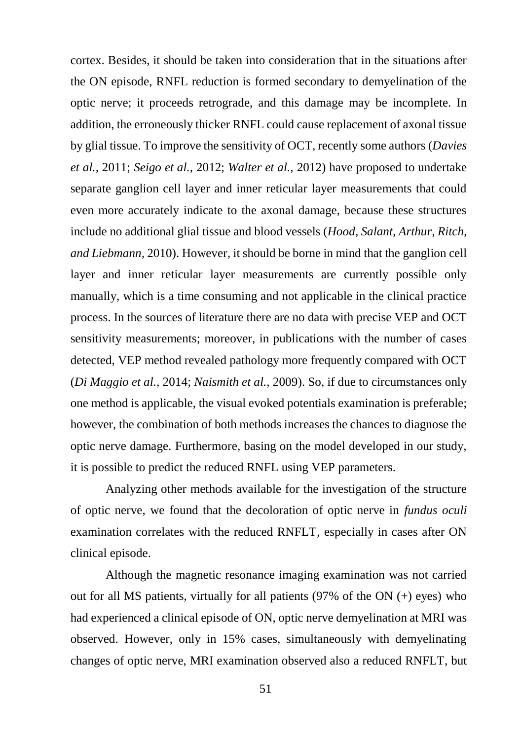cortex. Besides, it should be taken into consideration that in the situations after the ON episode, RNFL reduction is formed secondary to demyelination of the optic nerve; it proceeds retrograde, and this damage may be incomplete. In addition, the erroneously thicker RNFL could cause replacement of axonal tissue by glial tissue. To improve the sensitivity of OCT, recently some authors (*Davies et al.,* 2011; *Seigo et al.,* 2012; *Walter et al.,* 2012) have proposed to undertake separate ganglion cell layer and inner reticular layer measurements that could even more accurately indicate to the axonal damage, because these structures include no additional glial tissue and blood vessels (*Hood, Salant, Arthur, Ritch, and Liebmann,* 2010). However, it should be borne in mind that the ganglion cell layer and inner reticular layer measurements are currently possible only manually, which is a time consuming and not applicable in the clinical practice process. In the sources of literature there are no data with precise VEP and OCT sensitivity measurements; moreover, in publications with the number of cases detected, VEP method revealed pathology more frequently compared with OCT (*Di Maggio et al.,* 2014; *Naismith et al.,* 2009). So, if due to circumstances only one method is applicable, the visual evoked potentials examination is preferable; however, the combination of both methods increases the chances to diagnose the optic nerve damage. Furthermore, basing on the model developed in our study, it is possible to predict the reduced RNFL using VEP parameters.

Analyzing other methods available for the investigation of the structure of optic nerve, we found that the decoloration of optic nerve in *fundus oculi* examination correlates with the reduced RNFLT, especially in cases after ON clinical episode.

Although the magnetic resonance imaging examination was not carried out for all MS patients, virtually for all patients (97% of the ON (+) eyes) who had experienced a clinical episode of ON, optic nerve demyelination at MRI was observed. However, only in 15% cases, simultaneously with demyelinating changes of optic nerve, MRI examination observed also a reduced RNFLT, but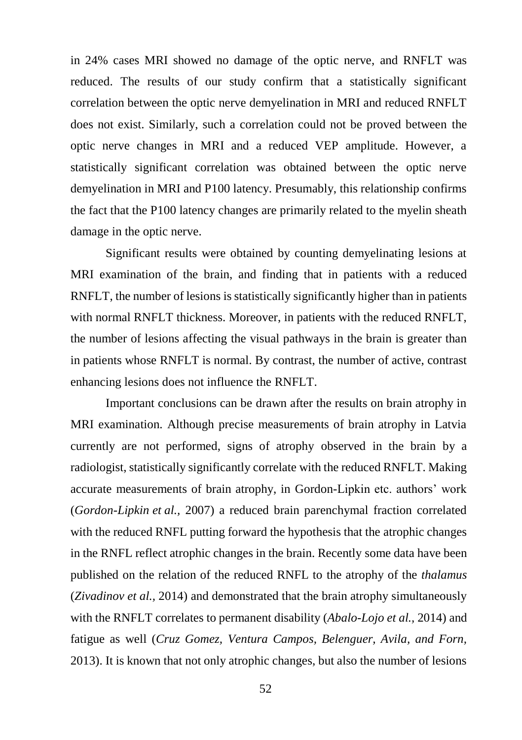in 24% cases MRI showed no damage of the optic nerve, and RNFLT was reduced. The results of our study confirm that a statistically significant correlation between the optic nerve demyelination in MRI and reduced RNFLT does not exist. Similarly, such a correlation could not be proved between the optic nerve changes in MRI and a reduced VEP amplitude. However, a statistically significant correlation was obtained between the optic nerve demyelination in MRI and P100 latency. Presumably, this relationship confirms the fact that the P100 latency changes are primarily related to the myelin sheath damage in the optic nerve.

Significant results were obtained by counting demyelinating lesions at MRI examination of the brain, and finding that in patients with a reduced RNFLT, the number of lesions is statistically significantly higher than in patients with normal RNFLT thickness. Moreover, in patients with the reduced RNFLT, the number of lesions affecting the visual pathways in the brain is greater than in patients whose RNFLT is normal. By contrast, the number of active, contrast enhancing lesions does not influence the RNFLT.

Important conclusions can be drawn after the results on brain atrophy in MRI examination. Although precise measurements of brain atrophy in Latvia currently are not performed, signs of atrophy observed in the brain by a radiologist, statistically significantly correlate with the reduced RNFLT. Making accurate measurements of brain atrophy, in Gordon-Lipkin etc. authors' work (*Gordon-Lipkin et al.,* 2007) a reduced brain parenchymal fraction correlated with the reduced RNFL putting forward the hypothesis that the atrophic changes in the RNFL reflect atrophic changes in the brain. Recently some data have been published on the relation of the reduced RNFL to the atrophy of the *thalamus* (*Zivadinov et al.,* 2014) and demonstrated that the brain atrophy simultaneously with the RNFLT correlates to permanent disability (*Abalo-Lojo et al.,* 2014) and fatigue as well (*Cruz Gomez, Ventura Campos, Belenguer, Avila, and Forn,* 2013). It is known that not only atrophic changes, but also the number of lesions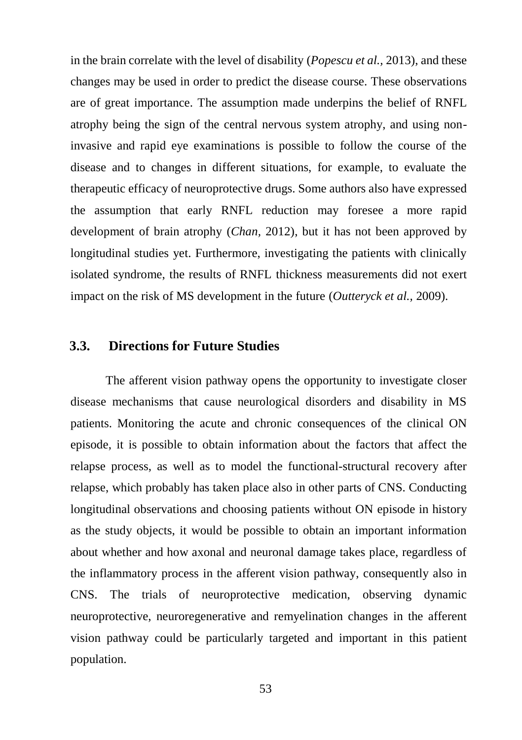in the brain correlate with the level of disability (*Popescu et al.,* 2013), and these changes may be used in order to predict the disease course. These observations are of great importance. The assumption made underpins the belief of RNFL atrophy being the sign of the central nervous system atrophy, and using noninvasive and rapid eye examinations is possible to follow the course of the disease and to changes in different situations, for example, to evaluate the therapeutic efficacy of neuroprotective drugs. Some authors also have expressed the assumption that early RNFL reduction may foresee a more rapid development of brain atrophy (*Chan,* 2012), but it has not been approved by longitudinal studies yet. Furthermore, investigating the patients with clinically isolated syndrome, the results of RNFL thickness measurements did not exert impact on the risk of MS development in the future (*Outteryck et al.,* 2009).

#### <span id="page-53-0"></span>**3.3. Directions for Future Studies**

The afferent vision pathway opens the opportunity to investigate closer disease mechanisms that cause neurological disorders and disability in MS patients. Monitoring the acute and chronic consequences of the clinical ON episode, it is possible to obtain information about the factors that affect the relapse process, as well as to model the functional-structural recovery after relapse, which probably has taken place also in other parts of CNS. Conducting longitudinal observations and choosing patients without ON episode in history as the study objects, it would be possible to obtain an important information about whether and how axonal and neuronal damage takes place, regardless of the inflammatory process in the afferent vision pathway, consequently also in CNS. The trials of neuroprotective medication, observing dynamic neuroprotective, neuroregenerative and remyelination changes in the afferent vision pathway could be particularly targeted and important in this patient population.

53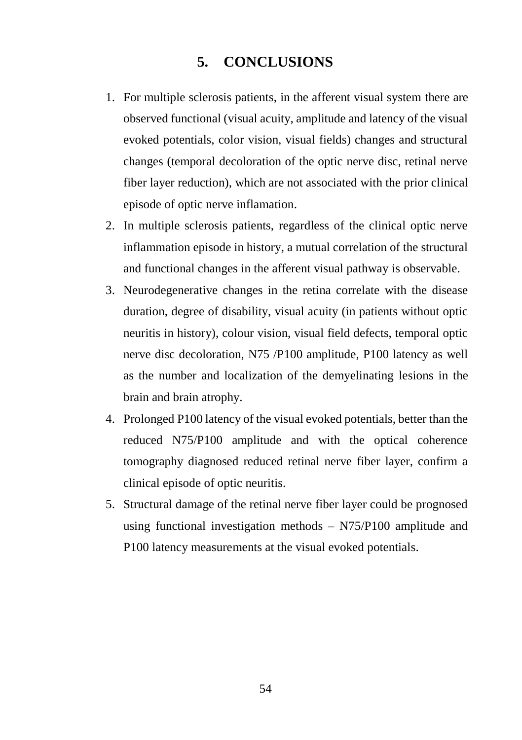## **5. CONCLUSIONS**

- <span id="page-54-0"></span>1. For multiple sclerosis patients, in the afferent visual system there are observed functional (visual acuity, amplitude and latency of the visual evoked potentials, color vision, visual fields) changes and structural changes (temporal decoloration of the optic nerve disc, retinal nerve fiber layer reduction), which are not associated with the prior clinical episode of optic nerve inflamation.
- 2. In multiple sclerosis patients, regardless of the clinical optic nerve inflammation episode in history, a mutual correlation of the structural and functional changes in the afferent visual pathway is observable.
- 3. Neurodegenerative changes in the retina correlate with the disease duration, degree of disability, visual acuity (in patients without optic neuritis in history), colour vision, visual field defects, temporal optic nerve disc decoloration, N75 /P100 amplitude, P100 latency as well as the number and localization of the demyelinating lesions in the brain and brain atrophy.
- 4. Prolonged P100 latency of the visual evoked potentials, better than the reduced N75/P100 amplitude and with the optical coherence tomography diagnosed reduced retinal nerve fiber layer, confirm a clinical episode of optic neuritis.
- 5. Structural damage of the retinal nerve fiber layer could be prognosed using functional investigation methods – N75/P100 amplitude and P100 latency measurements at the visual evoked potentials.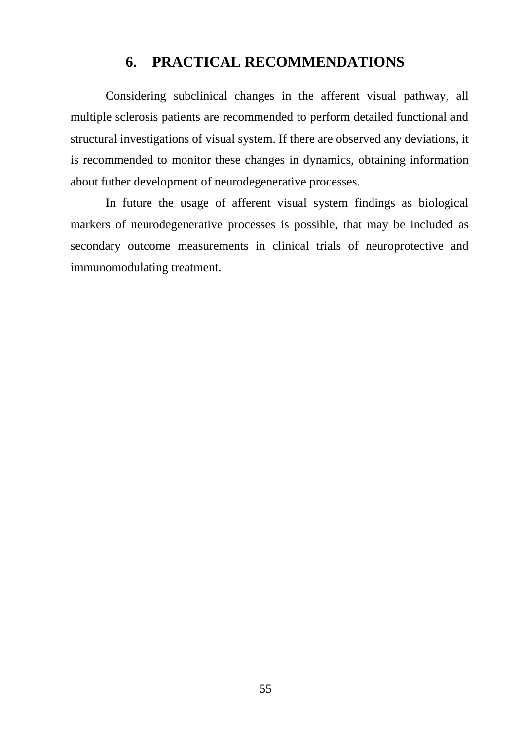## **6. PRACTICAL RECOMMENDATIONS**

<span id="page-55-0"></span>Considering subclinical changes in the afferent visual pathway, all multiple sclerosis patients are recommended to perform detailed functional and structural investigations of visual system. If there are observed any deviations, it is recommended to monitor these changes in dynamics, obtaining information about futher development of neurodegenerative processes.

In future the usage of afferent visual system findings as biological markers of neurodegenerative processes is possible, that may be included as secondary outcome measurements in clinical trials of neuroprotective and immunomodulating treatment.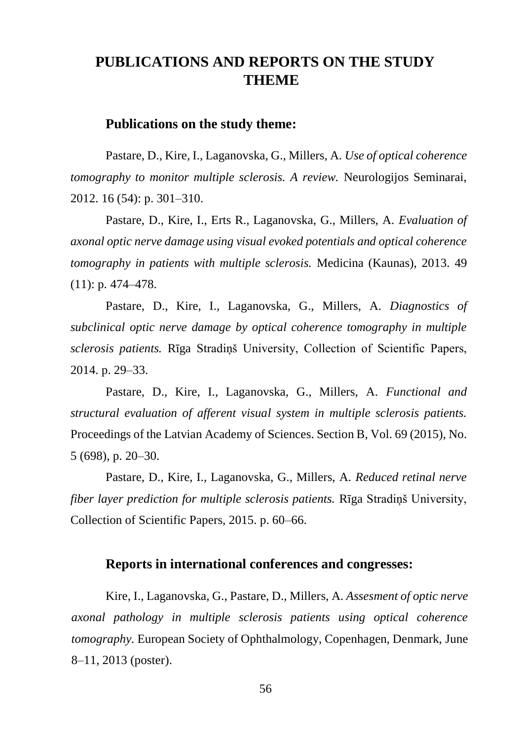## <span id="page-56-0"></span>**PUBLICATIONS AND REPORTS ON THE STUDY THEME**

#### **Publications on the study theme:**

Pastare, D., Kire, I., Laganovska, G., Millers, A. *Use of optical coherence tomography to monitor multiple sclerosis. A review.* Neurologijos Seminarai, 2012. 16 (54): p. 301–310.

Pastare, D., Kire, I., Erts R., Laganovska, G., Millers, A. *Evaluation of axonal optic nerve damage using visual evoked potentials and optical coherence tomography in patients with multiple sclerosis.* Medicina (Kaunas), 2013. 49 (11): p. 474–478.

Pastare, D., Kire, I., Laganovska, G., Millers, A*. Diagnostics of subclinical optic nerve damage by optical coherence tomography in multiple sclerosis patients.* Rīga Stradiņš University, Collection of Scientific Papers, 2014. p. 29–33.

Pastare, D., Kire, I., Laganovska, G., Millers, A*. Functional and structural evaluation of afferent visual system in multiple sclerosis patients.*  Proceedings of the Latvian Academy of Sciences. Section B, Vol. 69 (2015), No. 5 (698), p. 20–30.

Pastare, D., Kire, I., Laganovska, G., Millers, A*. Reduced retinal nerve fiber layer prediction for multiple sclerosis patients.* Rīga Stradiņš University, Collection of Scientific Papers, 2015. p. 60–66.

#### **Reports in international conferences and congresses:**

Kire, I., Laganovska, G., Pastare, D., Millers, A. *Assesment of optic nerve axonal pathology in multiple sclerosis patients using optical coherence tomography.* European Society of Ophthalmology, Copenhagen, Denmark, June 8–11, 2013 (poster).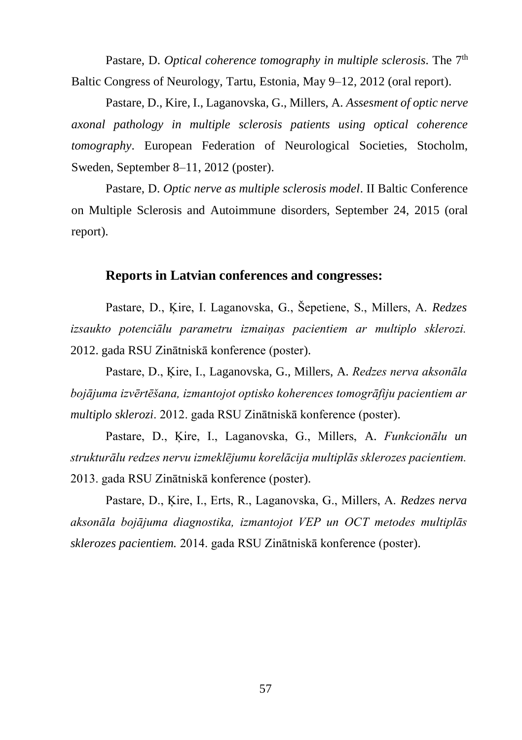Pastare, D. *Optical coherence tomography in multiple sclerosis*. The 7<sup>th</sup> Baltic Congress of Neurology, Tartu, Estonia, May 9–12, 2012 (oral report).

Pastare, D., Kire, I., Laganovska, G., Millers, A. *Assesment of optic nerve axonal pathology in multiple sclerosis patients using optical coherence tomography*. European Federation of Neurological Societies, Stocholm, Sweden, September 8–11, 2012 (poster).

Pastare, D. *Optic nerve as multiple sclerosis model*. II Baltic Conference on Multiple Sclerosis and Autoimmune disorders, September 24, 2015 (oral report).

## **Reports in Latvian conferences and congresses:**

Pastare, D., Ķire, I. Laganovska, G., Šepetiene, S., Millers, A. *Redzes izsaukto potenciālu parametru izmaiņas pacientiem ar multiplo sklerozi.*  2012. gada RSU Zinātniskā konference (poster).

Pastare, D., Ķire, I., Laganovska, G., Millers, A. *Redzes nerva aksonāla bojājuma izvērtēšana, izmantojot optisko koherences tomogrāfiju pacientiem ar multiplo sklerozi*. 2012. gada RSU Zinātniskā konference (poster).

Pastare, D., Ķire, I., Laganovska, G., Millers, A. *Funkcionālu un strukturālu redzes nervu izmeklējumu korelācija multiplās sklerozes pacientiem.* 2013. gada RSU Zinātniskā konference (poster).

Pastare, D., Ķire, I., Erts, R., Laganovska, G., Millers, A. *Redzes nerva aksonāla bojājuma diagnostika, izmantojot VEP un OCT metodes multiplās sklerozes pacientiem.* 2014. gada RSU Zinātniskā konference (poster).

57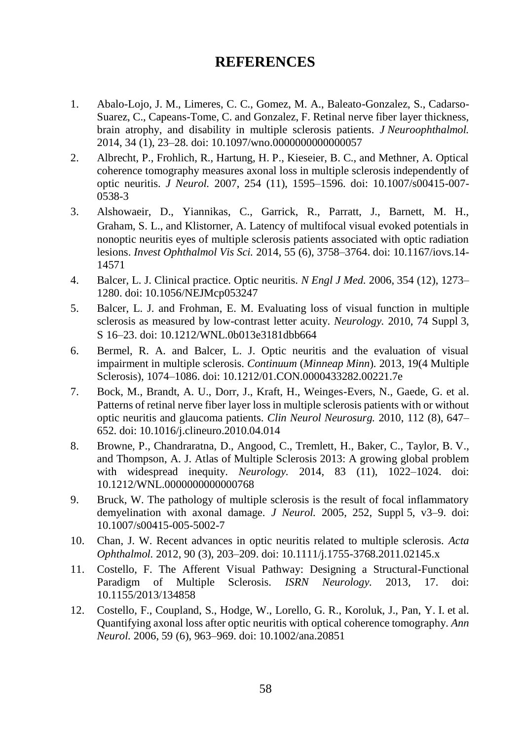## **REFERENCES**

- <span id="page-58-0"></span>1. Abalo-Lojo, J. M., Limeres, C. C., Gomez, M. A., Baleato-Gonzalez, S., Cadarso-Suarez, C., Capeans-Tome, C. and Gonzalez, F. Retinal nerve fiber layer thickness, brain atrophy, and disability in multiple sclerosis patients. *J Neuroophthalmol.*  2014, 34 (1), 23–28. doi: 10.1097/wno.0000000000000057
- 2. Albrecht, P., Frohlich, R., Hartung, H. P., Kieseier, B. C., and Methner, A. Optical coherence tomography measures axonal loss in multiple sclerosis independently of optic neuritis. *J Neurol.* 2007, 254 (11), 1595–1596. doi: 10.1007/s00415-007- 0538-3
- 3. Alshowaeir, D., Yiannikas, C., Garrick, R., Parratt, J., Barnett, M. H., Graham, S. L., and Klistorner, A. Latency of multifocal visual evoked potentials in nonoptic neuritis eyes of multiple sclerosis patients associated with optic radiation lesions. *Invest Ophthalmol Vis Sci.* 2014, 55 (6), 3758–3764. doi: 10.1167/iovs.14- 14571
- 4. Balcer, L. J. Clinical practice. Optic neuritis. *N Engl J Med.* 2006, 354 (12), 1273– 1280. doi: 10.1056/NEJMcp053247
- 5. Balcer, L. J. and Frohman, E. M. Evaluating loss of visual function in multiple sclerosis as measured by low-contrast letter acuity. *Neurology.* 2010, 74 Suppl 3, S 16–23. doi: 10.1212/WNL.0b013e3181dbb664
- 6. Bermel, R. A. and Balcer, L. J. Optic neuritis and the evaluation of visual impairment in multiple sclerosis. *Continuum* (*Minneap Minn*)*.* 2013, 19(4 Multiple Sclerosis), 1074–1086. doi: 10.1212/01.CON.0000433282.00221.7e
- 7. Bock, M., Brandt, A. U., Dorr, J., Kraft, H., Weinges-Evers, N., Gaede, G. et al. Patterns of retinal nerve fiber layer loss in multiple sclerosis patients with or without optic neuritis and glaucoma patients. *Clin Neurol Neurosurg.* 2010, 112 (8), 647– 652. doi: 10.1016/j.clineuro.2010.04.014
- 8. Browne, P., Chandraratna, D., Angood, C., Tremlett, H., Baker, C., Taylor, B. V., and Thompson, A. J. Atlas of Multiple Sclerosis 2013: A growing global problem with widespread inequity. *Neurology.* 2014, 83 (11), 1022–1024. doi: 10.1212/WNL.0000000000000768
- 9. Bruck, W. The pathology of multiple sclerosis is the result of focal inflammatory demyelination with axonal damage. *J Neurol.* 2005, 252, Suppl 5, v3–9. doi: 10.1007/s00415-005-5002-7
- 10. Chan, J. W. Recent advances in optic neuritis related to multiple sclerosis. *Acta Ophthalmol.* 2012, 90 (3), 203–209. doi: 10.1111/j.1755-3768.2011.02145.x
- 11. Costello, F. The Afferent Visual Pathway: Designing a Structural-Functional Paradigm of Multiple Sclerosis. *ISRN Neurology.* 2013*,* 17. doi: 10.1155/2013/134858
- 12. Costello, F., Coupland, S., Hodge, W., Lorello, G. R., Koroluk, J., Pan, Y. I. et al. Quantifying axonal loss after optic neuritis with optical coherence tomography. *Ann Neurol.* 2006, 59 (6), 963–969. doi: 10.1002/ana.20851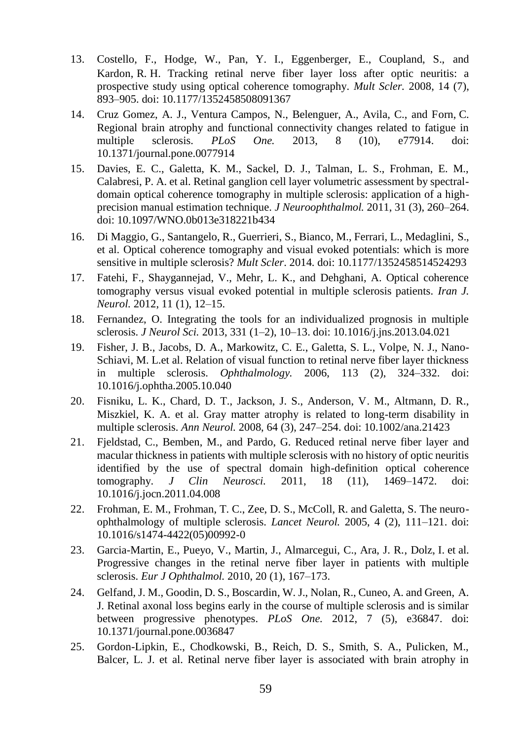- 13. Costello, F., Hodge, W., Pan, Y. I., Eggenberger, E., Coupland, S., and Kardon, R. H. Tracking retinal nerve fiber layer loss after optic neuritis: a prospective study using optical coherence tomography. *Mult Scler.* 2008, 14 (7), 893–905. doi: 10.1177/1352458508091367
- 14. Cruz Gomez, A. J., Ventura Campos, N., Belenguer, A., Avila, C., and Forn, C. Regional brain atrophy and functional connectivity changes related to fatigue in multiple sclerosis. *PLoS One.* 2013, 8 (10), e77914. doi: 10.1371/journal.pone.0077914
- 15. Davies, E. C., Galetta, K. M., Sackel, D. J., Talman, L. S., Frohman, E. M., Calabresi, P. A. et al. Retinal ganglion cell layer volumetric assessment by spectraldomain optical coherence tomography in multiple sclerosis: application of a highprecision manual estimation technique. *J Neuroophthalmol.* 2011, 31 (3), 260–264. doi: 10.1097/WNO.0b013e318221b434
- 16. Di Maggio, G., Santangelo, R., Guerrieri, S., Bianco, M., Ferrari, L., Medaglini, S., et al. Optical coherence tomography and visual evoked potentials: which is more sensitive in multiple sclerosis? *Mult Scler*. 2014. doi: 10.1177/1352458514524293
- 17. Fatehi, F., Shaygannejad, V., Mehr, L. K., and Dehghani, A. Optical coherence tomography versus visual evoked potential in multiple sclerosis patients. *Iran J. Neurol.* 2012, 11 (1), 12–15.
- 18. Fernandez, O. Integrating the tools for an individualized prognosis in multiple sclerosis. *J Neurol Sci.* 2013, 331 (1–2), 10–13. doi: 10.1016/j.jns.2013.04.021
- 19. Fisher, J. B., Jacobs, D. A., Markowitz, C. E., Galetta, S. L., Volpe, N. J., Nano-Schiavi, M. L.et al. Relation of visual function to retinal nerve fiber layer thickness in multiple sclerosis. *Ophthalmology.* 2006, 113 (2), 324–332. doi: 10.1016/j.ophtha.2005.10.040
- 20. Fisniku, L. K., Chard, D. T., Jackson, J. S., Anderson, V. M., Altmann, D. R., Miszkiel, K. A. et al. Gray matter atrophy is related to long-term disability in multiple sclerosis. *Ann Neurol.* 2008, 64 (3), 247–254. doi: 10.1002/ana.21423
- 21. Fjeldstad, C., Bemben, M., and Pardo, G. Reduced retinal nerve fiber layer and macular thickness in patients with multiple sclerosis with no history of optic neuritis identified by the use of spectral domain high-definition optical coherence tomography. *J Clin Neurosci.* 2011, 18 (11), 1469–1472. doi: 10.1016/j.jocn.2011.04.008
- 22. Frohman, E. M., Frohman, T. C., Zee, D. S., McColl, R. and Galetta, S. The neuroophthalmology of multiple sclerosis. *Lancet Neurol.* 2005, 4 (2), 111–121. doi: 10.1016/s1474-4422(05)00992-0
- 23. Garcia-Martin, E., Pueyo, V., Martin, J., Almarcegui, C., Ara, J. R., Dolz, I. et al. Progressive changes in the retinal nerve fiber layer in patients with multiple sclerosis. *Eur J Ophthalmol.* 2010, 20 (1), 167–173.
- 24. Gelfand, J. M., Goodin, D. S., Boscardin, W. J., Nolan, R., Cuneo, A. and Green, A. J. Retinal axonal loss begins early in the course of multiple sclerosis and is similar between progressive phenotypes. *PLoS One.* 2012, 7 (5), e36847. doi: 10.1371/journal.pone.0036847
- 25. Gordon-Lipkin, E., Chodkowski, B., Reich, D. S., Smith, S. A., Pulicken, M., Balcer, L. J. et al. Retinal nerve fiber layer is associated with brain atrophy in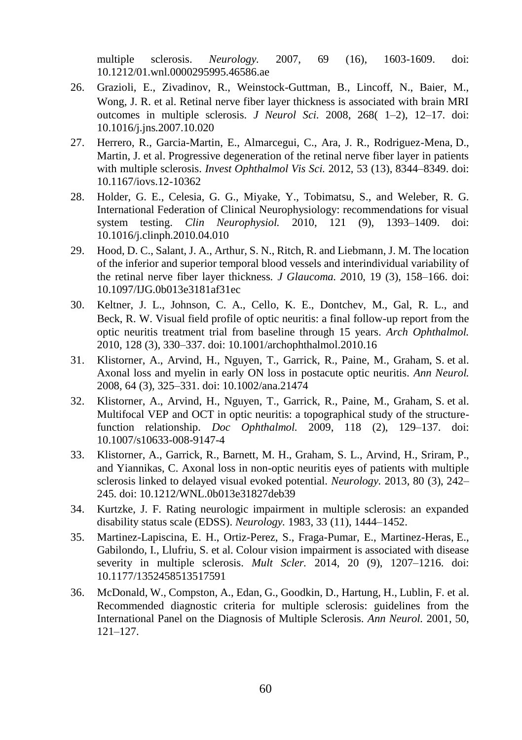multiple sclerosis. *Neurology.* 2007, 69 (16), 1603-1609. doi: 10.1212/01.wnl.0000295995.46586.ae

- 26. Grazioli, E., Zivadinov, R., Weinstock-Guttman, B., Lincoff, N., Baier, M., Wong, J. R. et al. Retinal nerve fiber layer thickness is associated with brain MRI outcomes in multiple sclerosis. *J Neurol Sci.* 2008, 268( 1–2), 12–17. doi: 10.1016/j.jns.2007.10.020
- 27. Herrero, R., Garcia-Martin, E., Almarcegui, C., Ara, J. R., Rodriguez-Mena, D., Martin, J. et al. Progressive degeneration of the retinal nerve fiber layer in patients with multiple sclerosis. *Invest Ophthalmol Vis Sci.* 2012, 53 (13), 8344–8349. doi: 10.1167/iovs.12-10362
- 28. Holder, G. E., Celesia, G. G., Miyake, Y., Tobimatsu, S., and Weleber, R. G. International Federation of Clinical Neurophysiology: recommendations for visual system testing. *Clin Neurophysiol.* 2010, 121 (9), 1393–1409. doi: 10.1016/j.clinph.2010.04.010
- 29. Hood, D. C., Salant, J. A., Arthur, S. N., Ritch, R. and Liebmann, J. M. The location of the inferior and superior temporal blood vessels and interindividual variability of the retinal nerve fiber layer thickness. *J Glaucoma. 2*010, 19 (3), 158–166. doi: 10.1097/IJG.0b013e3181af31ec
- 30. Keltner, J. L., Johnson, C. A., Cello, K. E., Dontchev, M., Gal, R. L., and Beck, R. W. Visual field profile of optic neuritis: a final follow-up report from the optic neuritis treatment trial from baseline through 15 years. *Arch Ophthalmol.*  2010, 128 (3), 330–337. doi: 10.1001/archophthalmol.2010.16
- 31. Klistorner, A., Arvind, H., Nguyen, T., Garrick, R., Paine, M., Graham, S. et al. Axonal loss and myelin in early ON loss in postacute optic neuritis. *Ann Neurol.*  2008, 64 (3), 325–331. doi: 10.1002/ana.21474
- 32. Klistorner, A., Arvind, H., Nguyen, T., Garrick, R., Paine, M., Graham, S. et al. Multifocal VEP and OCT in optic neuritis: a topographical study of the structurefunction relationship. *Doc Ophthalmol.* 2009, 118 (2), 129–137. doi: 10.1007/s10633-008-9147-4
- 33. Klistorner, A., Garrick, R., Barnett, M. H., Graham, S. L., Arvind, H., Sriram, P., and Yiannikas, C. Axonal loss in non-optic neuritis eyes of patients with multiple sclerosis linked to delayed visual evoked potential. *Neurology.* 2013, 80 (3), 242– 245. doi: 10.1212/WNL.0b013e31827deb39
- 34. Kurtzke, J. F. Rating neurologic impairment in multiple sclerosis: an expanded disability status scale (EDSS). *Neurology.* 1983, 33 (11), 1444–1452.
- 35. Martinez-Lapiscina, E. H., Ortiz-Perez, S., Fraga-Pumar, E., Martinez-Heras, E., Gabilondo, I., Llufriu, S. et al. Colour vision impairment is associated with disease severity in multiple sclerosis. *Mult Scler.* 2014, 20 (9), 1207–1216. doi: 10.1177/1352458513517591
- 36. McDonald, W., Compston, A., Edan, G., Goodkin, D., Hartung, H., Lublin, F. et al. Recommended diagnostic criteria for multiple sclerosis: guidelines from the International Panel on the Diagnosis of Multiple Sclerosis. *Ann Neurol.* 2001, 50, 121–127.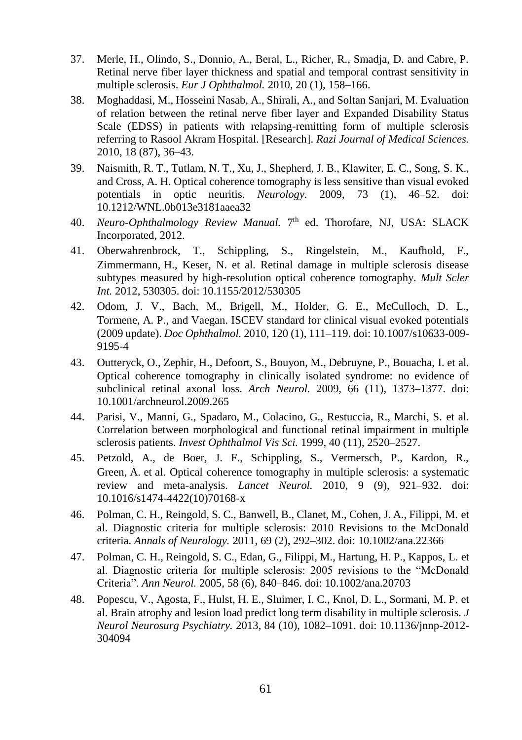- 37. Merle, H., Olindo, S., Donnio, A., Beral, L., Richer, R., Smadja, D. and Cabre, P. Retinal nerve fiber layer thickness and spatial and temporal contrast sensitivity in multiple sclerosis. *Eur J Ophthalmol.* 2010, 20 (1), 158–166.
- 38. Moghaddasi, M., Hosseini Nasab, A., Shirali, A., and Soltan Sanjari, M. Evaluation of relation between the retinal nerve fiber layer and Expanded Disability Status Scale (EDSS) in patients with relapsing-remitting form of multiple sclerosis referring to Rasool Akram Hospital. [Research]. *Razi Journal of Medical Sciences.*  2010, 18 (87), 36–43.
- 39. Naismith, R. T., Tutlam, N. T., Xu, J., Shepherd, J. B., Klawiter, E. C., Song, S. K., and Cross, A. H. Optical coherence tomography is less sensitive than visual evoked potentials in optic neuritis. *Neurology.* 2009, 73 (1), 46–52. doi: 10.1212/WNL.0b013e3181aaea32
- 40. Neuro-Ophthalmology Review Manual. 7<sup>th</sup> ed. Thorofare, NJ, USA: SLACK Incorporated, 2012.
- 41. Oberwahrenbrock, T., Schippling, S., Ringelstein, M., Kaufhold, F., Zimmermann, H., Keser, N. et al. Retinal damage in multiple sclerosis disease subtypes measured by high-resolution optical coherence tomography. *Mult Scler Int.* 2012, 530305. doi: 10.1155/2012/530305
- 42. Odom, J. V., Bach, M., Brigell, M., Holder, G. E., McCulloch, D. L., Tormene, A. P., and Vaegan. ISCEV standard for clinical visual evoked potentials (2009 update). *Doc Ophthalmol.* 2010, 120 (1), 111–119. doi: 10.1007/s10633-009- 9195-4
- 43. Outteryck, O., Zephir, H., Defoort, S., Bouyon, M., Debruyne, P., Bouacha, I. et al. Optical coherence tomography in clinically isolated syndrome: no evidence of subclinical retinal axonal loss. *Arch Neurol.* 2009, 66 (11), 1373–1377. doi: 10.1001/archneurol.2009.265
- 44. Parisi, V., Manni, G., Spadaro, M., Colacino, G., Restuccia, R., Marchi, S. et al. Correlation between morphological and functional retinal impairment in multiple sclerosis patients. *Invest Ophthalmol Vis Sci.* 1999, 40 (11), 2520–2527.
- 45. Petzold, A., de Boer, J. F., Schippling, S., Vermersch, P., Kardon, R., Green, A. et al. Optical coherence tomography in multiple sclerosis: a systematic review and meta-analysis. *Lancet Neurol.* 2010, 9 (9), 921–932. doi: 10.1016/s1474-4422(10)70168-x
- 46. Polman, C. H., Reingold, S. C., Banwell, B., Clanet, M., Cohen, J. A., Filippi, M. et al. Diagnostic criteria for multiple sclerosis: 2010 Revisions to the McDonald criteria. *Annals of Neurology.* 2011, 69 (2), 292–302. doi: 10.1002/ana.22366
- 47. Polman, C. H., Reingold, S. C., Edan, G., Filippi, M., Hartung, H. P., Kappos, L. et al. Diagnostic criteria for multiple sclerosis: 2005 revisions to the "McDonald Criteria". *Ann Neurol.* 2005*,* 58 (6), 840–846. doi: 10.1002/ana.20703
- 48. Popescu, V., Agosta, F., Hulst, H. E., Sluimer, I. C., Knol, D. L., Sormani, M. P. et al. Brain atrophy and lesion load predict long term disability in multiple sclerosis. *J Neurol Neurosurg Psychiatry.* 2013, 84 (10), 1082–1091. doi: 10.1136/jnnp-2012- 304094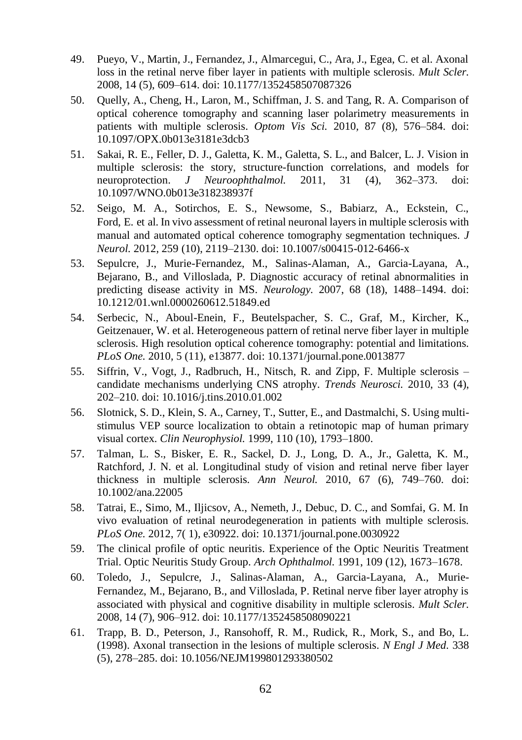- 49. Pueyo, V., Martin, J., Fernandez, J., Almarcegui, C., Ara, J., Egea, C. et al. Axonal loss in the retinal nerve fiber layer in patients with multiple sclerosis. *Mult Scler.*  2008, 14 (5), 609–614. doi: 10.1177/1352458507087326
- 50. Quelly, A., Cheng, H., Laron, M., Schiffman, J. S. and Tang, R. A. Comparison of optical coherence tomography and scanning laser polarimetry measurements in patients with multiple sclerosis. *Optom Vis Sci.* 2010*,* 87 (8), 576–584. doi: 10.1097/OPX.0b013e3181e3dcb3
- 51. Sakai, R. E., Feller, D. J., Galetta, K. M., Galetta, S. L., and Balcer, L. J. Vision in multiple sclerosis: the story, structure-function correlations, and models for neuroprotection. *J Neuroophthalmol.* 2011, 31 (4), 362–373. doi: 10.1097/WNO.0b013e318238937f
- 52. Seigo, M. A., Sotirchos, E. S., Newsome, S., Babiarz, A., Eckstein, C., Ford, E. et al. In vivo assessment of retinal neuronal layers in multiple sclerosis with manual and automated optical coherence tomography segmentation techniques. *J Neurol.* 2012, 259 (10), 2119–2130. doi: 10.1007/s00415-012-6466-x
- 53. Sepulcre, J., Murie-Fernandez, M., Salinas-Alaman, A., Garcia-Layana, A., Bejarano, B., and Villoslada, P. Diagnostic accuracy of retinal abnormalities in predicting disease activity in MS. *Neurology.* 2007, 68 (18), 1488–1494. doi: 10.1212/01.wnl.0000260612.51849.ed
- 54. Serbecic, N., Aboul-Enein, F., Beutelspacher, S. C., Graf, M., Kircher, K., Geitzenauer, W. et al. Heterogeneous pattern of retinal nerve fiber layer in multiple sclerosis. High resolution optical coherence tomography: potential and limitations. *PLoS One.* 2010, 5 (11), e13877. doi: 10.1371/journal.pone.0013877
- 55. Siffrin, V., Vogt, J., Radbruch, H., Nitsch, R. and Zipp, F. Multiple sclerosis candidate mechanisms underlying CNS atrophy. *Trends Neurosci.* 2010, 33 (4), 202–210. doi: 10.1016/j.tins.2010.01.002
- 56. Slotnick, S. D., Klein, S. A., Carney, T., Sutter, E., and Dastmalchi, S. Using multistimulus VEP source localization to obtain a retinotopic map of human primary visual cortex. *Clin Neurophysiol.* 1999, 110 (10), 1793–1800.
- 57. Talman, L. S., Bisker, E. R., Sackel, D. J., Long, D. A., Jr., Galetta, K. M., Ratchford, J. N. et al. Longitudinal study of vision and retinal nerve fiber layer thickness in multiple sclerosis. *Ann Neurol.* 2010, 67 (6), 749–760. doi: 10.1002/ana.22005
- 58. Tatrai, E., Simo, M., Iljicsov, A., Nemeth, J., Debuc, D. C., and Somfai, G. M. In vivo evaluation of retinal neurodegeneration in patients with multiple sclerosis. *PLoS One.* 2012, 7( 1), e30922. doi: 10.1371/journal.pone.0030922
- 59. The clinical profile of optic neuritis. Experience of the Optic Neuritis Treatment Trial. Optic Neuritis Study Group. *Arch Ophthalmol.* 1991, 109 (12), 1673–1678.
- 60. Toledo, J., Sepulcre, J., Salinas-Alaman, A., Garcia-Layana, A., Murie-Fernandez, M., Bejarano, B., and Villoslada, P. Retinal nerve fiber layer atrophy is associated with physical and cognitive disability in multiple sclerosis. *Mult Scler.*  2008*,* 14 (7), 906–912. doi: 10.1177/1352458508090221
- 61. Trapp, B. D., Peterson, J., Ransohoff, R. M., Rudick, R., Mork, S., and Bo, L. (1998). Axonal transection in the lesions of multiple sclerosis. *N Engl J Med.* 338 (5), 278–285. doi: 10.1056/NEJM199801293380502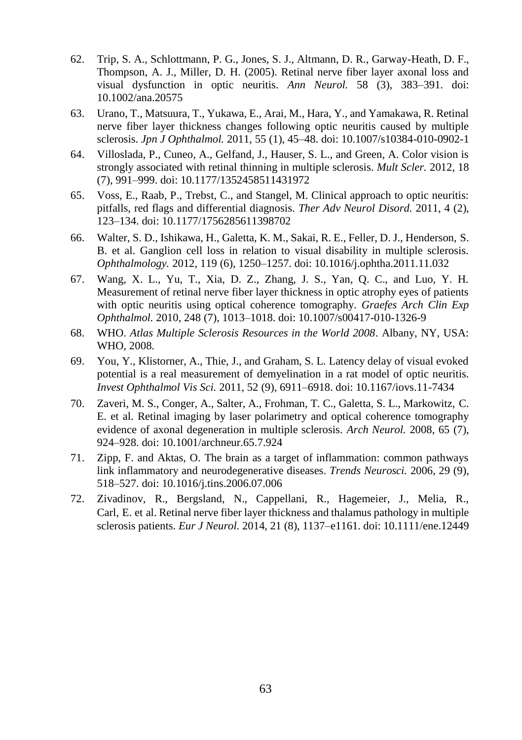- 62. Trip, S. A., Schlottmann, P. G., Jones, S. J., Altmann, D. R., Garway-Heath, D. F., Thompson, A. J., Miller, D. H. (2005). Retinal nerve fiber layer axonal loss and visual dysfunction in optic neuritis. *Ann Neurol.* 58 (3), 383–391. doi: 10.1002/ana.20575
- 63. Urano, T., Matsuura, T., Yukawa, E., Arai, M., Hara, Y., and Yamakawa, R. Retinal nerve fiber layer thickness changes following optic neuritis caused by multiple sclerosis. *Jpn J Ophthalmol.* 2011, 55 (1), 45–48. doi: 10.1007/s10384-010-0902-1
- 64. Villoslada, P., Cuneo, A., Gelfand, J., Hauser, S. L., and Green, A. Color vision is strongly associated with retinal thinning in multiple sclerosis. *Mult Scler.* 2012, 18 (7), 991–999. doi: 10.1177/1352458511431972
- 65. Voss, E., Raab, P., Trebst, C., and Stangel, M. Clinical approach to optic neuritis: pitfalls, red flags and differential diagnosis. *Ther Adv Neurol Disord.* 2011, 4 (2), 123–134. doi: 10.1177/1756285611398702
- 66. Walter, S. D., Ishikawa, H., Galetta, K. M., Sakai, R. E., Feller, D. J., Henderson, S. B. et al. Ganglion cell loss in relation to visual disability in multiple sclerosis. *Ophthalmology.* 2012, 119 (6), 1250–1257. doi: 10.1016/j.ophtha.2011.11.032
- 67. Wang, X. L., Yu, T., Xia, D. Z., Zhang, J. S., Yan, Q. C., and Luo, Y. H. Measurement of retinal nerve fiber layer thickness in optic atrophy eyes of patients with optic neuritis using optical coherence tomography. *Graefes Arch Clin Exp Ophthalmol.* 2010, 248 (7), 1013–1018. doi: 10.1007/s00417-010-1326-9
- 68. WHO. *Atlas Multiple Sclerosis Resources in the World 2008*. Albany, NY, USA: WHO, 2008.
- 69. You, Y., Klistorner, A., Thie, J., and Graham, S. L. Latency delay of visual evoked potential is a real measurement of demyelination in a rat model of optic neuritis. *Invest Ophthalmol Vis Sci.* 2011, 52 (9), 6911–6918. doi: 10.1167/iovs.11-7434
- 70. Zaveri, M. S., Conger, A., Salter, A., Frohman, T. C., Galetta, S. L., Markowitz, C. E. et al. Retinal imaging by laser polarimetry and optical coherence tomography evidence of axonal degeneration in multiple sclerosis. *Arch Neurol.* 2008, 65 (7), 924–928. doi: 10.1001/archneur.65.7.924
- 71. Zipp, F. and Aktas, O. The brain as a target of inflammation: common pathways link inflammatory and neurodegenerative diseases. *Trends Neurosci.* 2006, 29 (9), 518–527. doi: 10.1016/j.tins.2006.07.006
- 72. Zivadinov, R., Bergsland, N., Cappellani, R., Hagemeier, J., Melia, R., Carl, E. et al. Retinal nerve fiber layer thickness and thalamus pathology in multiple sclerosis patients. *Eur J Neurol.* 2014, 21 (8), 1137–e1161. doi: 10.1111/ene.12449